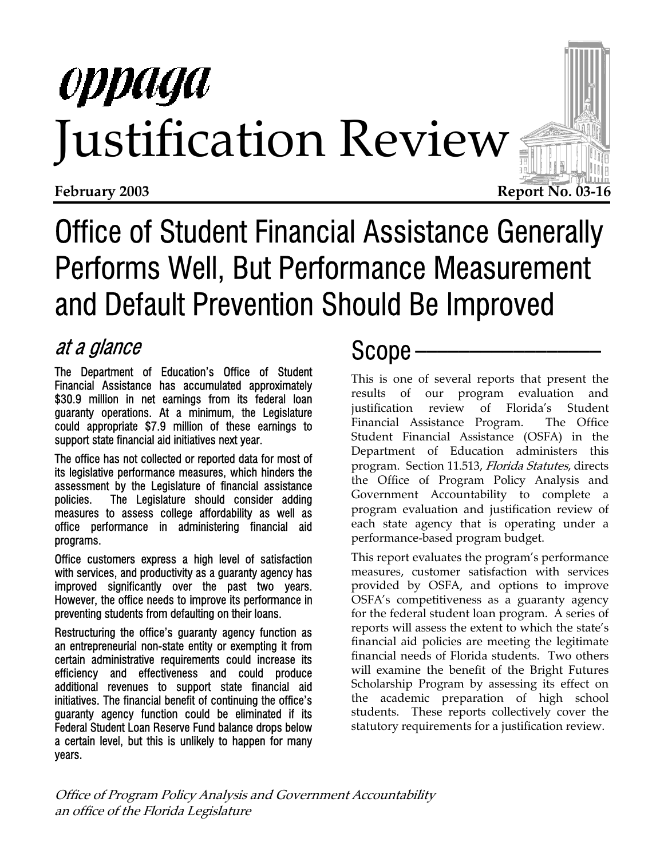# oppaga Justification Review



## Office of Student Financial Assistance Generally Performs Well, But Performance Measurement and Default Prevention Should Be Improved

### at a glance Scope Scope

The Department of Education's Office of Student Financial Assistance has accumulated approximately \$30.9 million in net earnings from its federal loan guaranty operations. At a minimum, the Legislature could appropriate \$7.9 million of these earnings to support state financial aid initiatives next year.

The office has not collected or reported data for most of its legislative performance measures, which hinders the assessment by the Legislature of financial assistance policies. The Legislature should consider adding measures to assess college affordability as well as office performance in administering financial aid programs.

Office customers express a high level of satisfaction with services, and productivity as a guaranty agency has improved significantly over the past two years. However, the office needs to improve its performance in preventing students from defaulting on their loans.

Restructuring the office's guaranty agency function as an entrepreneurial non-state entity or exempting it from certain administrative requirements could increase its efficiency and effectiveness and could produce additional revenues to support state financial aid initiatives. The financial benefit of continuing the office's guaranty agency function could be eliminated if its Federal Student Loan Reserve Fund balance drops below a certain level, but this is unlikely to happen for many years.

This is one of several reports that present the results of our program evaluation and justification review of Florida's Student Financial Assistance Program. The Office Student Financial Assistance (OSFA) in the Department of Education administers this program. Section 11.513, Florida Statutes, directs the Office of Program Policy Analysis and Government Accountability to complete a program evaluation and justification review of each state agency that is operating under a performance-based program budget.

This report evaluates the program's performance measures, customer satisfaction with services provided by OSFA, and options to improve OSFA's competitiveness as a guaranty agency for the federal student loan program. A series of reports will assess the extent to which the state's financial aid policies are meeting the legitimate financial needs of Florida students. Two others will examine the benefit of the Bright Futures Scholarship Program by assessing its effect on the academic preparation of high school students. These reports collectively cover the statutory requirements for a justification review.

Office of Program Policy Analysis and Government Accountability an office of the Florida Legislature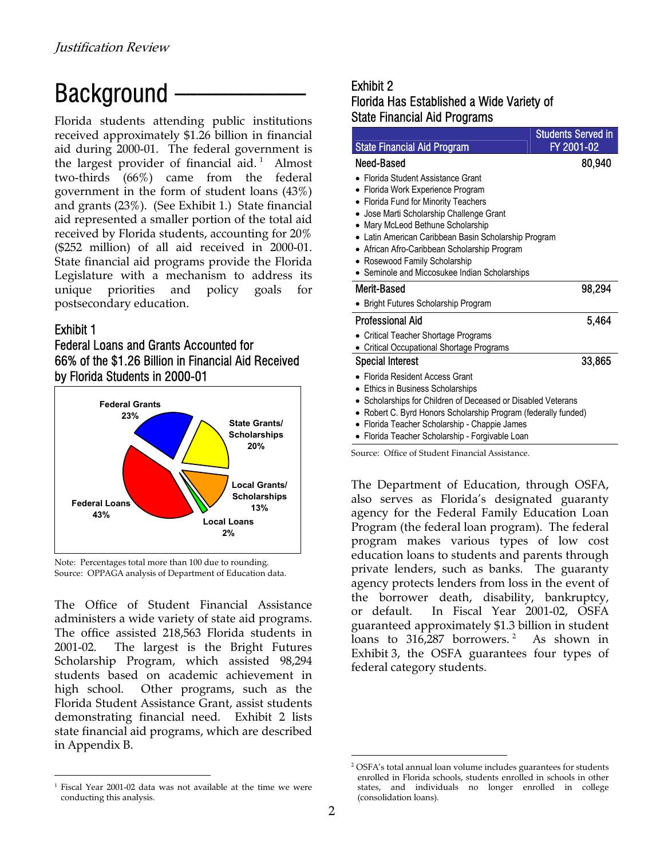### $Background$  Exhibit 2

State Financial Aid Programs Florida students attending public institutions received approximately \$1.26 billion in financial aid during 2000-01. The federal government is the largest provider of financial aid.<sup>[1](#page-1-0)</sup> Almost two-thirds (66%) came from the federal government in the form of student loans (43%) and grants (23%). (See Exhibit 1.) State financial aid represented a smaller portion of the total aid received by Florida students, accounting for 20% (\$252 million) of all aid received in 2000-01. State financial aid programs provide the Florida Legislature with a mechanism to address its unique priorities and policy goals for postsecondary education.

#### Exhibit 1

l

#### Federal Loans and Grants Accounted for 66% of the \$1.26 Billion in Financial Aid Received by Florida Students in 2000-01





The Office of Student Financial Assistance administers a wide variety of state aid programs. The office assisted 218,563 Florida students in 2001-02. The largest is the Bright Futures Scholarship Program, which assisted 98,294 students based on academic achievement in high school. Other programs, such as the Florida Student Assistance Grant, assist students demonstrating financial need. Exhibit 2 lists state financial aid programs, which are described in Appendix B.

# Florida Has Established a Wide Variety of

| <b>State Financial Aid Program</b>                                                                          | <b>Students Served in</b><br>FY 2001-02 |
|-------------------------------------------------------------------------------------------------------------|-----------------------------------------|
| Need-Based                                                                                                  | 80,940                                  |
| Florida Student Assistance Grant                                                                            |                                         |
| Florida Work Experience Program                                                                             |                                         |
| Florida Fund for Minority Teachers                                                                          |                                         |
| • Jose Marti Scholarship Challenge Grant<br>• Mary McLeod Bethune Scholarship                               |                                         |
| • Latin American Caribbean Basin Scholarship Program                                                        |                                         |
| • African Afro-Caribbean Scholarship Program                                                                |                                         |
| • Rosewood Family Scholarship                                                                               |                                         |
| • Seminole and Miccosukee Indian Scholarships                                                               |                                         |
| Merit-Based                                                                                                 | 98,294                                  |
| <b>Bright Futures Scholarship Program</b>                                                                   |                                         |
| Professional Aid                                                                                            | 5,464                                   |
| <b>Critical Teacher Shortage Programs</b>                                                                   |                                         |
| <b>Critical Occupational Shortage Programs</b>                                                              |                                         |
| <b>Special Interest</b>                                                                                     | 33,865                                  |
| Florida Resident Access Grant                                                                               |                                         |
| Ethics in Business Scholarships                                                                             |                                         |
| Scholarships for Children of Deceased or Disabled Veterans                                                  |                                         |
| Robert C. Byrd Honors Scholarship Program (federally funded)<br>$\bullet$                                   |                                         |
| Florida Teacher Scholarship - Chappie James<br>$\bullet$<br>• Florida Teacher Scholarship - Forgivable Loan |                                         |
| Source: Office of Student Financial Assistance.                                                             |                                         |

The Department of Education, through OSFA, also serves as Florida's designated guaranty agency for the Federal Family Education Loan Program (the federal loan program). The federal program makes various types of low cost education loans to students and parents through private lenders, such as banks. The guaranty agency protects lenders from loss in the event of the borrower death, disability, bankruptcy, or default. In Fiscal Year 2001-02, OSFA guaranteed approximately \$1.3 billion in student loans to 316,[2](#page-1-1)87 borrowers.<sup>2</sup> As shown in Exhibit 3, the OSFA guarantees four types of federal category students.

<span id="page-1-0"></span><sup>1</sup> Fiscal Year 2001-02 data was not available at the time we were conducting this analysis.

<span id="page-1-1"></span>OSFA's total annual loan volume includes guarantees for students enrolled in Florida schools, students enrolled in schools in other states, and individuals no longer enrolled in college (consolidation loans).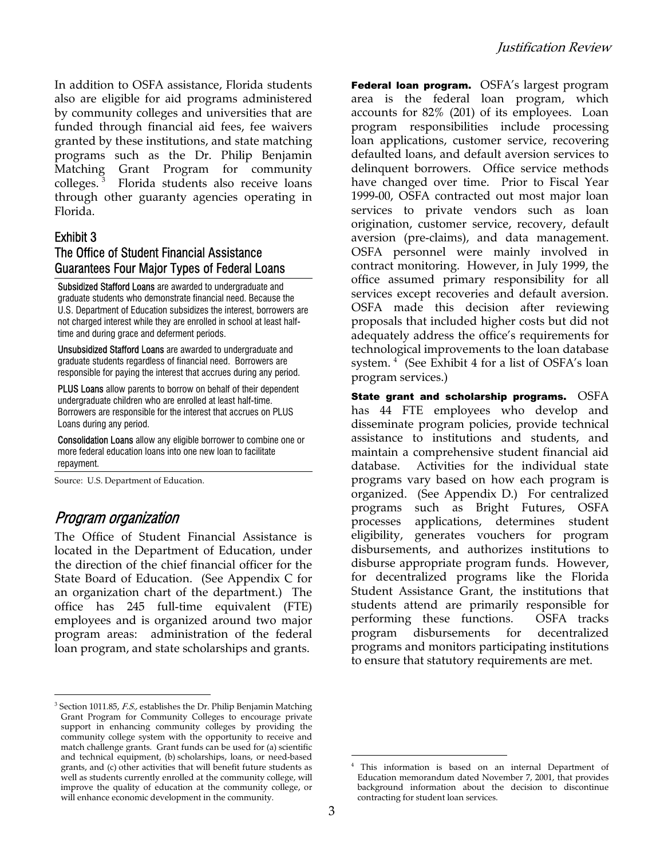In addition to OSFA assistance, Florida students also are eligible for aid programs administered by community colleges and universities that are funded through financial aid fees, fee waivers granted by these institutions, and state matching programs such as the Dr. Philip Benjamin Matching Grant Program for community colleges. Florida students also receive loans through other guaranty agencies operating in Florida.

#### Exhibit 3

#### The Office of Student Financial Assistance Guarantees Four Major Types of Federal Loans

Subsidized Stafford Loans are awarded to undergraduate and graduate students who demonstrate financial need. Because the U.S. Department of Education subsidizes the interest, borrowers are not charged interest while they are enrolled in school at least halftime and during grace and deferment periods.

Unsubsidized Stafford Loans are awarded to undergraduate and graduate students regardless of financial need. Borrowers are responsible for paying the interest that accrues during any period.

PLUS Loans allow parents to borrow on behalf of their dependent undergraduate children who are enrolled at least half-time. Borrowers are responsible for the interest that accrues on PLUS Loans during any period.

Consolidation Loans allow any eligible borrower to combine one or more federal education loans into one new loan to facilitate repayment.

Source: U.S. Department of Education.

#### Program organization

l

The Office of Student Financial Assistance is located in the Department of Education, under the direction of the chief financial officer for the State Board of Education. (See Appendix C for an organization chart of the department.) The office has 245 full-time equivalent (FTE) employees and is organized around two major program areas: administration of the federal loan program, and state scholarships and grants.

Federal loan program. OSFA's largest program area is the federal loan program, which accounts for 82% (201) of its employees. Loan program responsibilities include processing loan applications, customer service, recovering defaulted loans, and default aversion services to delinquent borrowers. Office service methods have changed over time. Prior to Fiscal Year 1999-00, OSFA contracted out most major loan services to private vendors such as loan origination, customer service, recovery, default aversion (pre-claims), and data management. OSFA personnel were mainly involved in contract monitoring. However, in July 1999, the office assumed primary responsibility for all services except recoveries and default aversion. OSFA made this decision after reviewing proposals that included higher costs but did not adequately address the office's requirements for technological improvements to the loan database system. [4](#page-2-1) (See Exhibit 4 for a list of OSFA's loan program services.)

State grant and scholarship programs.  $OSFA$ has 44 FTE employees who develop and disseminate program policies, provide technical assistance to institutions and students, and maintain a comprehensive student financial aid database. Activities for the individual state programs vary based on how each program is organized. (See Appendix D.) For centralized programs such as Bright Futures, OSFA processes applications, determines student eligibility, generates vouchers for program disbursements, and authorizes institutions to disburse appropriate program funds. However, for decentralized programs like the Florida Student Assistance Grant, the institutions that students attend are primarily responsible for performing these functions. OSFA tracks program disbursements for decentralized programs and monitors participating institutions to ensure that statutory requirements are met.

 $\overline{\phantom{a}}$ 

<span id="page-2-0"></span> $^3$  Section 1011.85*, F.S.,* establishes the Dr. Philip Benjamin Matching Grant Program for Community Colleges to encourage private support in enhancing community colleges by providing the community college system with the opportunity to receive and match challenge grants. Grant funds can be used for (a) scientific and technical equipment, (b) scholarships, loans, or need-based grants, and (c) other activities that will benefit future students as well as students currently enrolled at the community college, will improve the quality of education at the community college, or will enhance economic development in the community.

<span id="page-2-1"></span><sup>4</sup> This information is based on an internal Department of Education memorandum dated November 7, 2001, that provides background information about the decision to discontinue contracting for student loan services.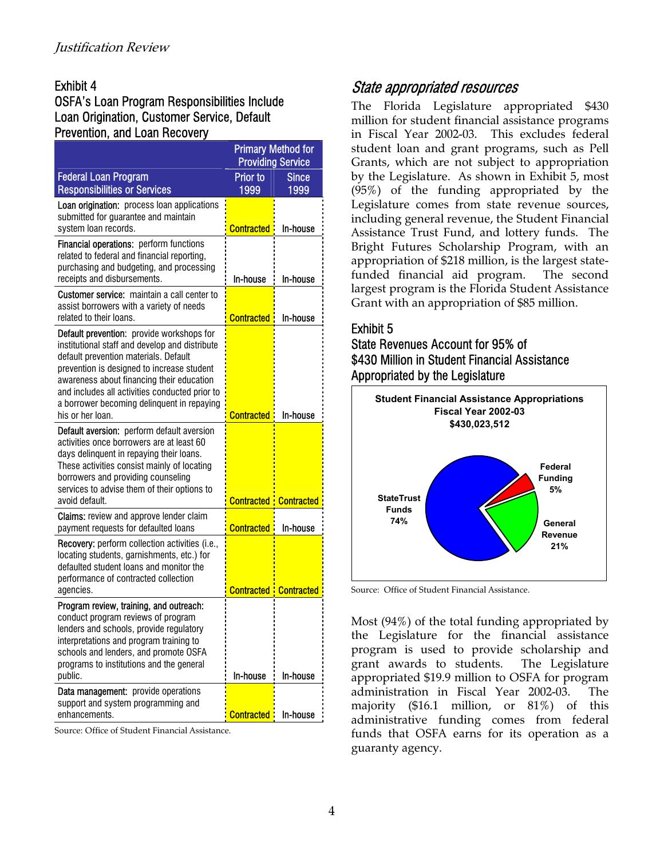#### OSFA's Loan Program Responsibilities Include Loan Origination, Customer Service, Default Prevention, and Loan Recovery

|                                                                                                                                                                                                                                                                                                                                                     | <b>Primary Method for</b><br><b>Providing Service</b> |                      |
|-----------------------------------------------------------------------------------------------------------------------------------------------------------------------------------------------------------------------------------------------------------------------------------------------------------------------------------------------------|-------------------------------------------------------|----------------------|
| <b>Federal Loan Program</b><br><b>Responsibilities or Services</b>                                                                                                                                                                                                                                                                                  | <b>Prior to</b><br>1999                               | <b>Since</b><br>1999 |
| Loan origination: process loan applications<br>submitted for guarantee and maintain<br>system loan records.                                                                                                                                                                                                                                         | <b>Contracted</b>                                     | In-house             |
| <b>Financial operations:</b> perform functions<br>related to federal and financial reporting,<br>purchasing and budgeting, and processing<br>receipts and disbursements.                                                                                                                                                                            | In-house                                              | In-house             |
| <b>Customer service:</b> maintain a call center to<br>assist borrowers with a variety of needs<br>related to their loans.                                                                                                                                                                                                                           | <b>Contracted</b>                                     | In-house             |
| Default prevention: provide workshops for<br>institutional staff and develop and distribute<br>default prevention materials. Default<br>prevention is designed to increase student<br>awareness about financing their education<br>and includes all activities conducted prior to<br>a borrower becoming delinquent in repaying<br>his or her loan. | <b>Contracted</b>                                     | In-house             |
| <b>Default aversion:</b> perform default aversion<br>activities once borrowers are at least 60<br>days delinquent in repaying their loans.<br>These activities consist mainly of locating<br>borrowers and providing counseling<br>services to advise them of their options to<br>avoid default.                                                    | <b>Contracted Contracted</b>                          |                      |
| Claims: review and approve lender claim<br>payment requests for defaulted loans                                                                                                                                                                                                                                                                     | <b>Contracted</b>                                     | In-house             |
| Recovery: perform collection activities (i.e.,<br>locating students, garnishments, etc.) for<br>defaulted student loans and monitor the<br>performance of contracted collection<br>agencies.                                                                                                                                                        | <b>Contracted: Contracted</b>                         |                      |
| Program review, training, and outreach:<br>conduct program reviews of program<br>lenders and schools, provide regulatory<br>interpretations and program training to<br>schools and lenders, and promote OSFA<br>programs to institutions and the general<br>public.                                                                                 | In-house                                              | In-house             |
| Data management: provide operations<br>support and system programming and<br>enhancements.                                                                                                                                                                                                                                                          | <b>Contracted</b>                                     | In-house             |

Source: Office of Student Financial Assistance.

#### Exhibit 4 State appropriated resources

The Florida Legislature appropriated \$430 million for student financial assistance programs in Fiscal Year 2002-03. This excludes federal student loan and grant programs, such as Pell Grants, which are not subject to appropriation by the Legislature. As shown in Exhibit 5, most (95%) of the funding appropriated by the Legislature comes from state revenue sources, including general revenue, the Student Financial Assistance Trust Fund, and lottery funds. The Bright Futures Scholarship Program, with an appropriation of \$218 million, is the largest statefunded financial aid program. The second largest program is the Florida Student Assistance Grant with an appropriation of \$85 million.

#### Exhibit 5

#### State Revenues Account for 95% of \$430 Million in Student Financial Assistance Appropriated by the Legislature



Source: Office of Student Financial Assistance.

Most (94%) of the total funding appropriated by the Legislature for the financial assistance program is used to provide scholarship and grant awards to students. The Legislature appropriated \$19.9 million to OSFA for program administration in Fiscal Year 2002-03. The majority (\$16.1 million, or 81%) of this administrative funding comes from federal funds that OSFA earns for its operation as a guaranty agency.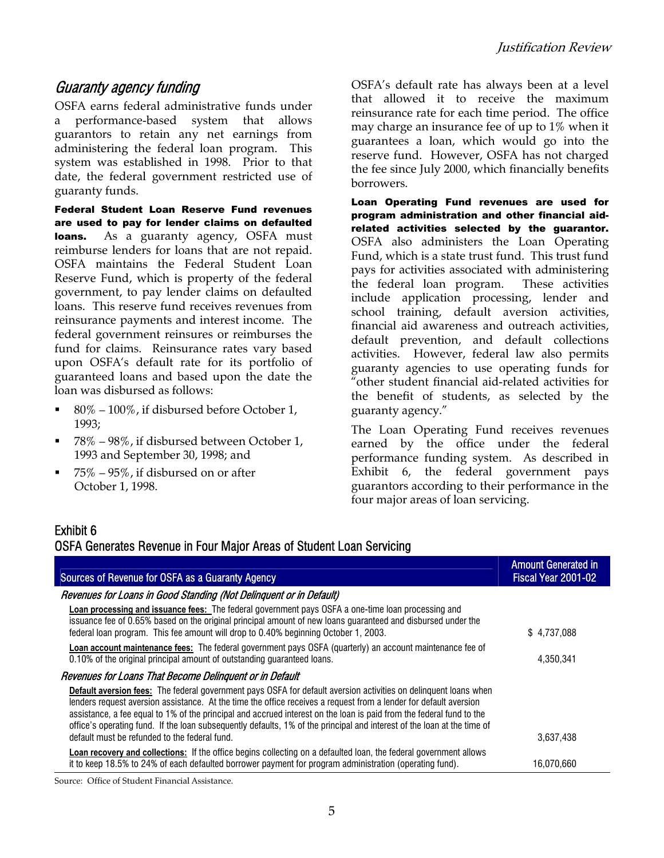#### Guaranty agency funding

OSFA earns federal administrative funds under a performance-based system that allows guarantors to retain any net earnings from administering the federal loan program. This system was established in 1998. Prior to that date, the federal government restricted use of guaranty funds.

Federal Student Loan Reserve Fund revenues are used to pay for lender claims on defaulted loans. As a guaranty agency, OSFA must reimburse lenders for loans that are not repaid. OSFA maintains the Federal Student Loan Reserve Fund, which is property of the federal government, to pay lender claims on defaulted loans. This reserve fund receives revenues from reinsurance payments and interest income. The federal government reinsures or reimburses the fund for claims. Reinsurance rates vary based upon OSFA's default rate for its portfolio of guaranteed loans and based upon the date the loan was disbursed as follows:

- 80% 100%, if disbursed before October 1, 1993;
- $\blacksquare$  78% 98%, if disbursed between October 1, 1993 and September 30, 1998; and
- 75% 95%, if disbursed on or after October 1, 1998.

OSFA's default rate has always been at a level that allowed it to receive the maximum reinsurance rate for each time period. The office may charge an insurance fee of up to 1% when it guarantees a loan, which would go into the reserve fund. However, OSFA has not charged the fee since July 2000, which financially benefits borrowers.

Loan Operating Fund revenues are used for program administration and other financial aidrelated activities selected by the guarantor. OSFA also administers the Loan Operating Fund, which is a state trust fund. This trust fund pays for activities associated with administering the federal loan program. These activities include application processing, lender and school training, default aversion activities, financial aid awareness and outreach activities, default prevention, and default collections activities. However, federal law also permits guaranty agencies to use operating funds for "other student financial aid-related activities for the benefit of students, as selected by the guaranty agency."

The Loan Operating Fund receives revenues earned by the office under the federal performance funding system. As described in Exhibit 6, the federal government pays guarantors according to their performance in the four major areas of loan servicing.

#### Exhibit 6

#### OSFA Generates Revenue in Four Major Areas of Student Loan Servicing

| Sources of Revenue for OSFA as a Guaranty Agency                                                                                                                                                                                                                                                                                                                                                                                                                                         | <b>Amount Generated in</b><br>Fiscal Year 2001-02 |
|------------------------------------------------------------------------------------------------------------------------------------------------------------------------------------------------------------------------------------------------------------------------------------------------------------------------------------------------------------------------------------------------------------------------------------------------------------------------------------------|---------------------------------------------------|
| Revenues for Loans in Good Standing (Not Delinquent or in Default)                                                                                                                                                                                                                                                                                                                                                                                                                       |                                                   |
| Loan processing and issuance fees: The federal government pays OSFA a one-time loan processing and<br>issuance fee of 0.65% based on the original principal amount of new loans guaranteed and disbursed under the<br>federal loan program. This fee amount will drop to 0.40% beginning October 1, 2003.                                                                                                                                                                                | \$4,737,088                                       |
| <b>Loan account maintenance fees:</b> The federal government pays OSFA (quarterly) an account maintenance fee of<br>0.10% of the original principal amount of outstanding guaranteed loans.                                                                                                                                                                                                                                                                                              | 4,350,341                                         |
| Revenues for Loans That Become Delinguent or in Default                                                                                                                                                                                                                                                                                                                                                                                                                                  |                                                   |
| Default aversion fees: The federal government pays OSFA for default aversion activities on delinquent loans when<br>lenders request aversion assistance. At the time the office receives a request from a lender for default aversion<br>assistance, a fee equal to 1% of the principal and accrued interest on the loan is paid from the federal fund to the<br>office's operating fund. If the loan subsequently defaults, 1% of the principal and interest of the loan at the time of |                                                   |
| default must be refunded to the federal fund.                                                                                                                                                                                                                                                                                                                                                                                                                                            | 3.637.438                                         |
| Loan recovery and collections: If the office begins collecting on a defaulted loan, the federal government allows<br>it to keep 18.5% to 24% of each defaulted borrower payment for program administration (operating fund).                                                                                                                                                                                                                                                             | 16.070.660                                        |

Source: Office of Student Financial Assistance.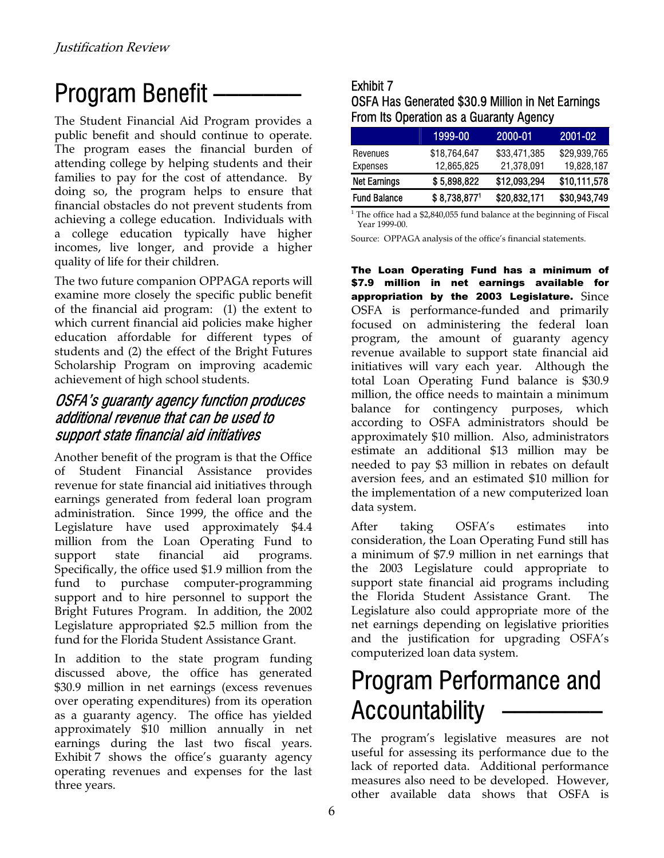### Program Benefit \_\_\_\_\_\_\_ Exhibit 7

The Student Financial Aid Program provides  $\alpha$  From Its Operation as a Guaranty Agency public benefit and should continue to operate. The program eases the financial burden of attending college by helping students and their families to pay for the cost of attendance. By doing so, the program helps to ensure that financial obstacles do not prevent students from achieving a college education. Individuals with a college education typically have higher incomes, live longer, and provide a higher quality of life for their children.

The two future companion OPPAGA reports will examine more closely the specific public benefit of the financial aid program: (1) the extent to which current financial aid policies make higher education affordable for different types of students and (2) the effect of the Bright Futures Scholarship Program on improving academic achievement of high school students.

#### OSFA's guaranty agency function produces additional revenue that can be used to support state financial aid initiatives

Another benefit of the program is that the Office of Student Financial Assistance provides revenue for state financial aid initiatives through earnings generated from federal loan program administration. Since 1999, the office and the Legislature have used approximately \$4.4 million from the Loan Operating Fund to support state financial aid programs. Specifically, the office used \$1.9 million from the fund to purchase computer-programming support and to hire personnel to support the Bright Futures Program. In addition, the 2002 Legislature appropriated \$2.5 million from the fund for the Florida Student Assistance Grant.

computerized loan data system. In addition to the state program funding discussed above, the office has generated \$30.9 million in net earnings (excess revenues over operating expenditures) from its operation as a guaranty agency. The office has yielded approximately \$10 million annually in net earnings during the last two fiscal years. Exhibit 7 shows the office's guaranty agency operating revenues and expenses for the last three years.

# OSFA Has Generated \$30.9 Million in Net Earnings

|                     | 1999-00      | 2000-01      | 2001-02      |
|---------------------|--------------|--------------|--------------|
| Revenues            | \$18.764.647 | \$33,471,385 | \$29,939,765 |
| Expenses            | 12,865,825   | 21.378.091   | 19,828,187   |
| <b>Net Earnings</b> | \$5,898,822  | \$12,093,294 | \$10,111,578 |
| <b>Fund Balance</b> | \$8,738,8771 | \$20,832,171 | \$30,943,749 |

<sup>1</sup> The office had a \$2,840,055 fund balance at the beginning of Fiscal Year 1999-00.

Source: OPPAGA analysis of the office's financial statements.

The Loan Operating Fund has a minimum of \$7.9 million in net earnings available for appropriation by the 2003 Legislature.Since OSFA is performance-funded and primarily focused on administering the federal loan program, the amount of guaranty agency revenue available to support state financial aid initiatives will vary each year. Although the total Loan Operating Fund balance is \$30.9 million, the office needs to maintain a minimum balance for contingency purposes, which according to OSFA administrators should be approximately \$10 million. Also, administrators estimate an additional \$13 million may be needed to pay \$3 million in rebates on default aversion fees, and an estimated \$10 million for the implementation of a new computerized loan data system.

After taking OSFA's estimates into consideration, the Loan Operating Fund still has a minimum of \$7.9 million in net earnings that the 2003 Legislature could appropriate to support state financial aid programs including the Florida Student Assistance Grant. The Legislature also could appropriate more of the net earnings depending on legislative priorities and the justification for upgrading OSFA's

### Program Performance and Accountability —

The program's legislative measures are not useful for assessing its performance due to the lack of reported data. Additional performance measures also need to be developed. However, other available data shows that OSFA is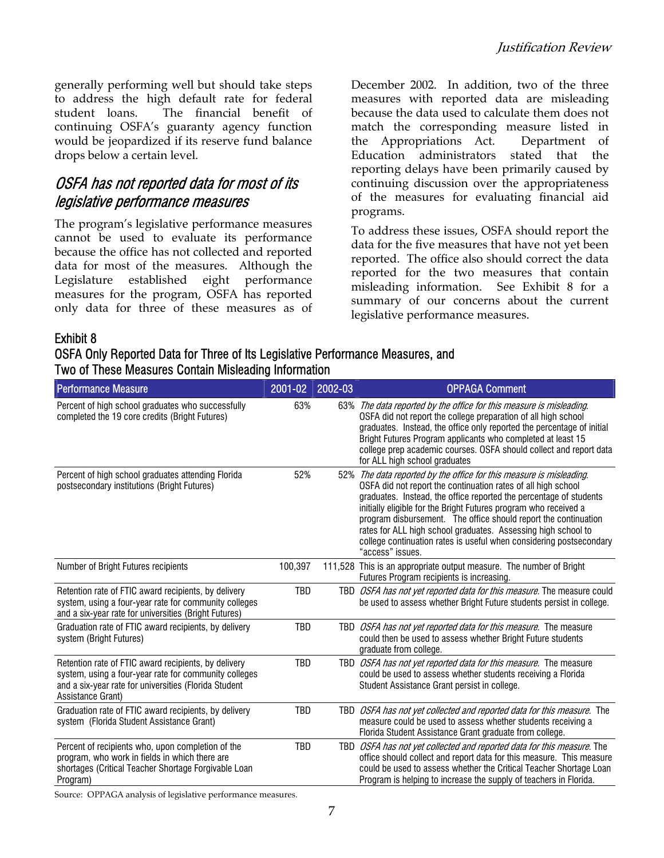generally performing well but should take steps to address the high default rate for federal student loans. The financial benefit of continuing OSFA's guaranty agency function would be jeopardized if its reserve fund balance drops below a certain level.

#### OSFA has not reported data for most of its legislative performance measures

The program's legislative performance measures cannot be used to evaluate its performance because the office has not collected and reported data for most of the measures. Although the Legislature established eight performance measures for the program, OSFA has reported only data for three of these measures as of

December 2002. In addition, two of the three measures with reported data are misleading because the data used to calculate them does not match the corresponding measure listed in the Appropriations Act. Department of Education administrators stated that the reporting delays have been primarily caused by continuing discussion over the appropriateness of the measures for evaluating financial aid programs.

To address these issues, OSFA should report the data for the five measures that have not yet been reported. The office also should correct the data reported for the two measures that contain misleading information. See Exhibit 8 for a summary of our concerns about the current legislative performance measures.

#### Exhibit 8

OSFA Only Reported Data for Three of Its Legislative Performance Measures, and Two of These Measures Contain Misleading Information

| <b>Performance Measure</b>                                                                                                                                                                  | 2001-02 | 2002-03 | <b>OPPAGA Comment</b>                                                                                                                                                                                                                                                                                                                                                                                                                                                                                         |
|---------------------------------------------------------------------------------------------------------------------------------------------------------------------------------------------|---------|---------|---------------------------------------------------------------------------------------------------------------------------------------------------------------------------------------------------------------------------------------------------------------------------------------------------------------------------------------------------------------------------------------------------------------------------------------------------------------------------------------------------------------|
| Percent of high school graduates who successfully<br>completed the 19 core credits (Bright Futures)                                                                                         | 63%     |         | 63% The data reported by the office for this measure is misleading.<br>OSFA did not report the college preparation of all high school<br>graduates. Instead, the office only reported the percentage of initial<br>Bright Futures Program applicants who completed at least 15<br>college prep academic courses. OSFA should collect and report data<br>for ALL high school graduates                                                                                                                         |
| Percent of high school graduates attending Florida<br>postsecondary institutions (Bright Futures)                                                                                           | 52%     |         | 52% The data reported by the office for this measure is misleading.<br>OSFA did not report the continuation rates of all high school<br>graduates. Instead, the office reported the percentage of students<br>initially eligible for the Bright Futures program who received a<br>program disbursement. The office should report the continuation<br>rates for ALL high school graduates. Assessing high school to<br>college continuation rates is useful when considering postsecondary<br>"access" issues. |
| Number of Bright Futures recipients                                                                                                                                                         | 100,397 |         | 111,528 This is an appropriate output measure. The number of Bright<br>Futures Program recipients is increasing.                                                                                                                                                                                                                                                                                                                                                                                              |
| Retention rate of FTIC award recipients, by delivery<br>system, using a four-year rate for community colleges<br>and a six-year rate for universities (Bright Futures)                      | TBD     |         | TBD <i>OSFA has not yet reported data for this measure</i> . The measure could<br>be used to assess whether Bright Future students persist in college.                                                                                                                                                                                                                                                                                                                                                        |
| Graduation rate of FTIC award recipients, by delivery<br>system (Bright Futures)                                                                                                            | TBD     |         | TBD OSFA has not yet reported data for this measure. The measure<br>could then be used to assess whether Bright Future students<br>graduate from college.                                                                                                                                                                                                                                                                                                                                                     |
| Retention rate of FTIC award recipients, by delivery<br>system, using a four-year rate for community colleges<br>and a six-year rate for universities (Florida Student<br>Assistance Grant) | TBD     |         | TBD <i>OSFA has not yet reported data for this measure</i> . The measure<br>could be used to assess whether students receiving a Florida<br>Student Assistance Grant persist in college.                                                                                                                                                                                                                                                                                                                      |
| Graduation rate of FTIC award recipients, by delivery<br>system (Florida Student Assistance Grant)                                                                                          | TBD     |         | TBD <i>OSFA has not yet collected and reported data for this measure</i> . The<br>measure could be used to assess whether students receiving a<br>Florida Student Assistance Grant graduate from college.                                                                                                                                                                                                                                                                                                     |
| Percent of recipients who, upon completion of the<br>program, who work in fields in which there are<br>shortages (Critical Teacher Shortage Forgivable Loan<br>Program)                     | TBD     |         | TBD <i>OSFA has not yet collected and reported data for this measure</i> . The<br>office should collect and report data for this measure. This measure<br>could be used to assess whether the Critical Teacher Shortage Loan<br>Program is helping to increase the supply of teachers in Florida.                                                                                                                                                                                                             |

Source: OPPAGA analysis of legislative performance measures.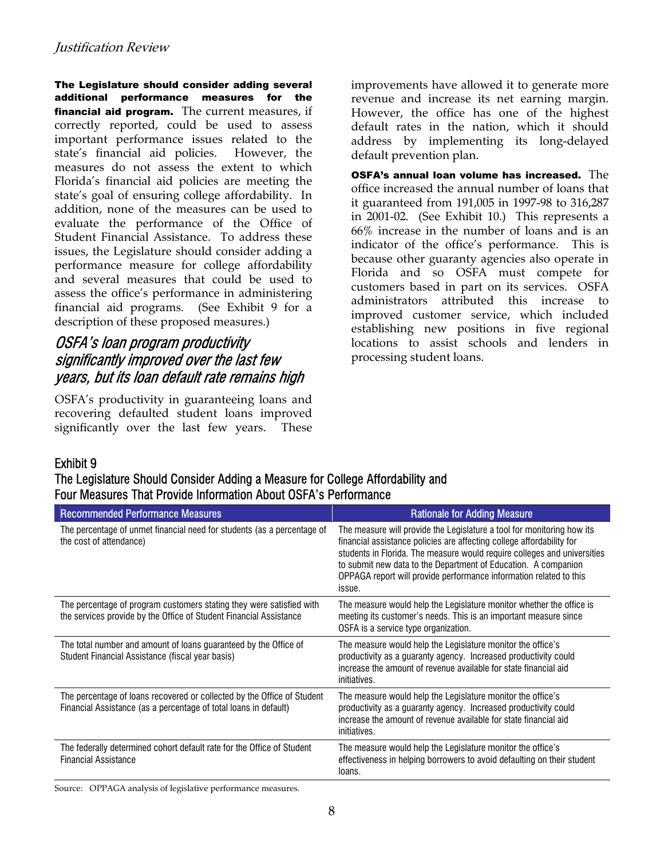The Legislature should consider adding several additional performance measures for the financial aid program.The current measures, if correctly reported, could be used to assess important performance issues related to the state's financial aid policies. However, the measures do not assess the extent to which Florida's financial aid policies are meeting the state's goal of ensuring college affordability. In addition, none of the measures can be used to evaluate the performance of the Office of Student Financial Assistance. To address these issues, the Legislature should consider adding a performance measure for college affordability and several measures that could be used to assess the office's performance in administering financial aid programs. (See Exhibit 9 for a description of these proposed measures.)

#### OSFA's loan program productivity significantly improved over the last few years, but its loan default rate remains high

OSFA's productivity in guaranteeing loans and recovering defaulted student loans improved significantly over the last few years. These

improvements have allowed it to generate more revenue and increase its net earning margin. However, the office has one of the highest default rates in the nation, which it should address by implementing its long-delayed default prevention plan.

OSFA's annual loan volume has increased. The office increased the annual number of loans that it guaranteed from 191,005 in 1997-98 to 316,287 in 2001-02. (See Exhibit 10.) This represents a 66% increase in the number of loans and is an indicator of the office's performance. This is because other guaranty agencies also operate in Florida and so OSFA must compete for customers based in part on its services. OSFA administrators attributed this increase to improved customer service, which included establishing new positions in five regional locations to assist schools and lenders in processing student loans.

#### Exhibit 9

The Legislature Should Consider Adding a Measure for College Affordability and Four Measures That Provide Information About OSFA's Performance

| <b>Recommended Performance Measures</b>                                                                                                     | <b>Rationale for Adding Measure</b>                                                                                                                                                                                                                                                                                                                                           |
|---------------------------------------------------------------------------------------------------------------------------------------------|-------------------------------------------------------------------------------------------------------------------------------------------------------------------------------------------------------------------------------------------------------------------------------------------------------------------------------------------------------------------------------|
| The percentage of unmet financial need for students (as a percentage of<br>the cost of attendance)                                          | The measure will provide the Legislature a tool for monitoring how its<br>financial assistance policies are affecting college affordability for<br>students in Florida. The measure would require colleges and universities<br>to submit new data to the Department of Education. A companion<br>OPPAGA report will provide performance information related to this<br>issue. |
| The percentage of program customers stating they were satisfied with<br>the services provide by the Office of Student Financial Assistance  | The measure would help the Legislature monitor whether the office is<br>meeting its customer's needs. This is an important measure since<br>OSFA is a service type organization.                                                                                                                                                                                              |
| The total number and amount of loans guaranteed by the Office of<br>Student Financial Assistance (fiscal year basis)                        | The measure would help the Legislature monitor the office's<br>productivity as a guaranty agency. Increased productivity could<br>increase the amount of revenue available for state financial aid<br>initiatives.                                                                                                                                                            |
| The percentage of loans recovered or collected by the Office of Student<br>Financial Assistance (as a percentage of total loans in default) | The measure would help the Legislature monitor the office's<br>productivity as a guaranty agency. Increased productivity could<br>increase the amount of revenue available for state financial aid<br>initiatives.                                                                                                                                                            |
| The federally determined cohort default rate for the Office of Student<br><b>Financial Assistance</b>                                       | The measure would help the Legislature monitor the office's<br>effectiveness in helping borrowers to avoid defaulting on their student<br>loans.                                                                                                                                                                                                                              |

Source: OPPAGA analysis of legislative performance measures.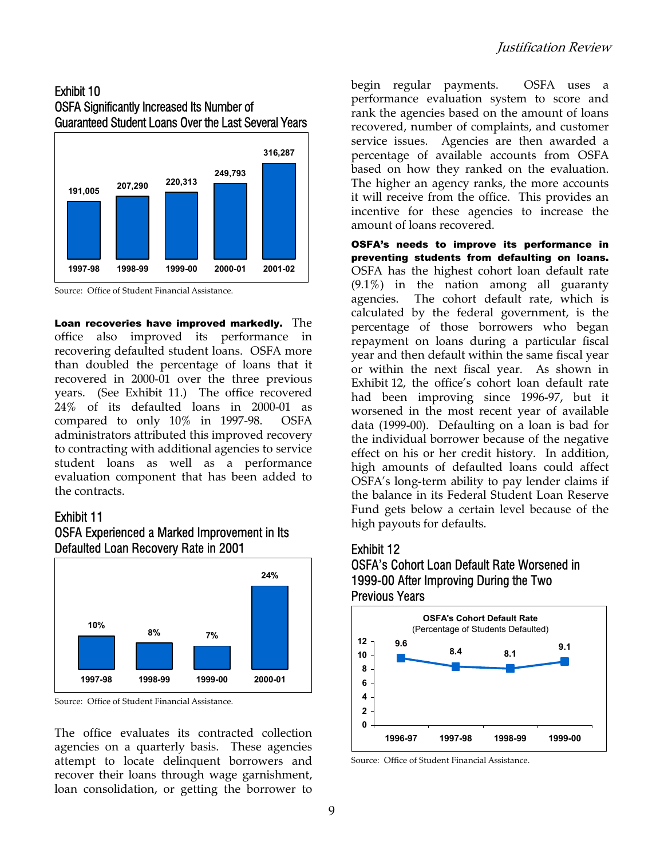#### Exhibit 10 OSFA Significantly Increased Its Number of Guaranteed Student Loans Over the Last Several Years



Source: Office of Student Financial Assistance.

Loan recoveries have improved markedly. The office also improved its performance in recovering defaulted student loans. OSFA more than doubled the percentage of loans that it recovered in 2000-01 over the three previous years. (See Exhibit 11.) The office recovered 24% of its defaulted loans in 2000-01 as compared to only 10% in 1997-98. OSFA administrators attributed this improved recovery to contracting with additional agencies to service student loans as well as a performance evaluation component that has been added to the contracts.

#### Exhibit 11

#### OSFA Experienced a Marked Improvement in Its Defaulted Loan Recovery Rate in 2001



Source: Office of Student Financial Assistance.

The office evaluates its contracted collection agencies on a quarterly basis. These agencies attempt to locate delinquent borrowers and recover their loans through wage garnishment, loan consolidation, or getting the borrower to

begin regular payments. OSFA uses a performance evaluation system to score and rank the agencies based on the amount of loans recovered, number of complaints, and customer service issues. Agencies are then awarded a percentage of available accounts from OSFA based on how they ranked on the evaluation. The higher an agency ranks, the more accounts it will receive from the office. This provides an incentive for these agencies to increase the amount of loans recovered.

OSFA's needs to improve its performance in preventing students from defaulting on loans. OSFA has the highest cohort loan default rate (9.1%) in the nation among all guaranty agencies. The cohort default rate, which is calculated by the federal government, is the percentage of those borrowers who began repayment on loans during a particular fiscal year and then default within the same fiscal year or within the next fiscal year. As shown in Exhibit 12, the office's cohort loan default rate had been improving since 1996-97, but it worsened in the most recent year of available data (1999-00). Defaulting on a loan is bad for the individual borrower because of the negative effect on his or her credit history. In addition, high amounts of defaulted loans could affect OSFA's long-term ability to pay lender claims if the balance in its Federal Student Loan Reserve Fund gets below a certain level because of the high payouts for defaults.

#### Exhibit 12

#### OSFA's Cohort Loan Default Rate Worsened in 1999-00 After Improving During the Two Previous Years



Source: Office of Student Financial Assistance.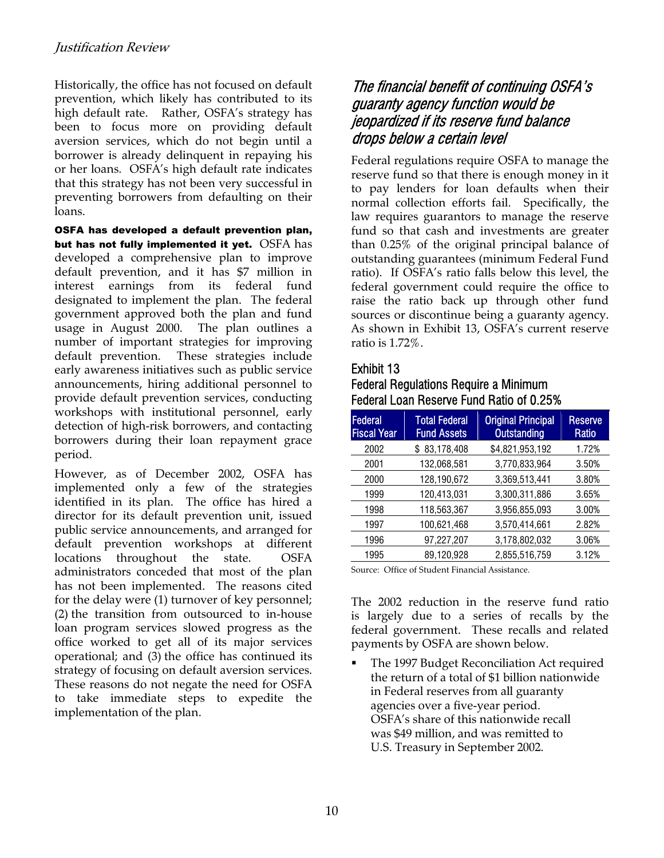Historically, the office has not focused on default prevention, which likely has contributed to its high default rate. Rather, OSFA's strategy has been to focus more on providing default aversion services, which do not begin until a borrower is already delinquent in repaying his or her loans. OSFA's high default rate indicates that this strategy has not been very successful in preventing borrowers from defaulting on their loans.

OSFA has developed a default prevention plan, but has not fully implemented it yet. OSFA has developed a comprehensive plan to improve default prevention, and it has \$7 million in interest earnings from its federal fund designated to implement the plan. The federal government approved both the plan and fund usage in August 2000. The plan outlines a number of important strategies for improving default prevention. These strategies include early awareness initiatives such as public service announcements, hiring additional personnel to provide default prevention services, conducting workshops with institutional personnel, early detection of high-risk borrowers, and contacting borrowers during their loan repayment grace period.

However, as of December 2002, OSFA has implemented only a few of the strategies identified in its plan. The office has hired a director for its default prevention unit, issued public service announcements, and arranged for default prevention workshops at different locations throughout the state. OSFA administrators conceded that most of the plan has not been implemented. The reasons cited for the delay were (1) turnover of key personnel; (2) the transition from outsourced to in-house loan program services slowed progress as the office worked to get all of its major services operational; and (3) the office has continued its strategy of focusing on default aversion services. These reasons do not negate the need for OSFA to take immediate steps to expedite the implementation of the plan.

#### The financial benefit of continuing OSFA's guaranty agency function would be jeopardized if its reserve fund balance drops below a certain level

Federal regulations require OSFA to manage the reserve fund so that there is enough money in it to pay lenders for loan defaults when their normal collection efforts fail. Specifically, the law requires guarantors to manage the reserve fund so that cash and investments are greater than 0.25% of the original principal balance of outstanding guarantees (minimum Federal Fund ratio). If OSFA's ratio falls below this level, the federal government could require the office to raise the ratio back up through other fund sources or discontinue being a guaranty agency. As shown in Exhibit 13, OSFA's current reserve ratio is 1.72%.

#### Exhibit 13

Federal Regulations Require a Minimum Federal Loan Reserve Fund Ratio of 0.25%

| Federal<br><b>Fiscal Year</b> | <b>Total Federal</b><br><b>Fund Assets</b>    | <b>Original Principal</b><br><b>Outstanding</b> | <b>Reserve</b><br>Ratio |
|-------------------------------|-----------------------------------------------|-------------------------------------------------|-------------------------|
| 2002                          | \$83,178,408                                  | \$4,821,953,192                                 | 1.72%                   |
| 2001                          | 132,068,581                                   | 3,770,833,964                                   | 3.50%                   |
| 2000                          | 128,190,672                                   | 3,369,513,441                                   | 3.80%                   |
| 1999                          | 120,413,031                                   | 3,300,311,886                                   | 3.65%                   |
| 1998                          | 118,563,367                                   | 3,956,855,093                                   | 3.00%                   |
| 1997                          | 100,621,468                                   | 3,570,414,661                                   | 2.82%                   |
| 1996                          | 97,227,207                                    | 3,178,802,032                                   | 3.06%                   |
| 1995                          | 89,120,928                                    | 2,855,516,759                                   | 3.12%                   |
|                               | Course Office of Chident Einengiel Assistance |                                                 |                         |

Source: Office of Student Financial Assistance.

The 2002 reduction in the reserve fund ratio is largely due to a series of recalls by the federal government. These recalls and related payments by OSFA are shown below.

 The 1997 Budget Reconciliation Act required the return of a total of \$1 billion nationwide in Federal reserves from all guaranty agencies over a five-year period. OSFA's share of this nationwide recall was \$49 million, and was remitted to U.S. Treasury in September 2002.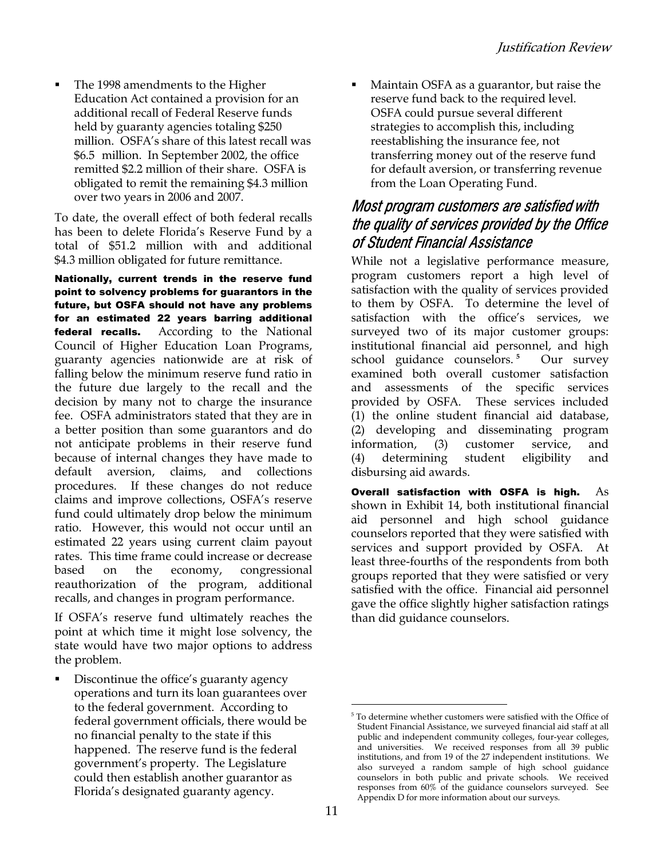The 1998 amendments to the Higher Education Act contained a provision for an additional recall of Federal Reserve funds held by guaranty agencies totaling \$250 million. OSFA's share of this latest recall was \$6.5 million. In September 2002, the office remitted \$2.2 million of their share. OSFA is obligated to remit the remaining \$4.3 million over two years in 2006 and 2007.

To date, the overall effect of both federal recalls has been to delete Florida's Reserve Fund by a total of \$51.2 million with and additional \$4.3 million obligated for future remittance.

Nationally, current trends in the reserve fund point to solvency problems for guarantors in the future, but OSFA should not have any problems for an estimated 22 years barring additional federal recalls. According to the National Council of Higher Education Loan Programs, guaranty agencies nationwide are at risk of falling below the minimum reserve fund ratio in the future due largely to the recall and the decision by many not to charge the insurance fee. OSFA administrators stated that they are in a better position than some guarantors and do not anticipate problems in their reserve fund because of internal changes they have made to default aversion, claims, and collections procedures. If these changes do not reduce claims and improve collections, OSFA's reserve fund could ultimately drop below the minimum ratio. However, this would not occur until an estimated 22 years using current claim payout rates. This time frame could increase or decrease based on the economy, congressional reauthorization of the program, additional recalls, and changes in program performance.

If OSFA's reserve fund ultimately reaches the point at which time it might lose solvency, the state would have two major options to address the problem.

 Discontinue the office's guaranty agency operations and turn its loan guarantees over to the federal government. According to federal government officials, there would be no financial penalty to the state if this happened. The reserve fund is the federal government's property. The Legislature could then establish another guarantor as Florida's designated guaranty agency.

 Maintain OSFA as a guarantor, but raise the reserve fund back to the required level. OSFA could pursue several different strategies to accomplish this, including reestablishing the insurance fee, not transferring money out of the reserve fund for default aversion, or transferring revenue from the Loan Operating Fund.

#### Most program customers are satisfied with the quality of services provided by the Office of Student Financial Assistance

While not a legislative performance measure, program customers report a high level of satisfaction with the quality of services provided to them by OSFA. To determine the level of satisfaction with the office's services, we surveyed two of its major customer groups: institutional financial aid personnel, and high school guidance counselors. **[5](#page-10-0)** Our survey examined both overall customer satisfaction and assessments of the specific services provided by OSFA. These services included (1) the online student financial aid database, (2) developing and disseminating program information, (3) customer service, and (4) determining student eligibility and disbursing aid awards.

Overall satisfaction with OSFA is high.  $As$ shown in Exhibit 14, both institutional financial aid personnel and high school guidance counselors reported that they were satisfied with services and support provided by OSFA. At least three-fourths of the respondents from both groups reported that they were satisfied or very satisfied with the office. Financial aid personnel gave the office slightly higher satisfaction ratings than did guidance counselors.

 $\overline{a}$ 

<span id="page-10-0"></span><sup>5</sup> To determine whether customers were satisfied with the Office of Student Financial Assistance, we surveyed financial aid staff at all public and independent community colleges, four-year colleges, and universities. We received responses from all 39 public institutions, and from 19 of the 27 independent institutions. We also surveyed a random sample of high school guidance counselors in both public and private schools. We received responses from 60% of the guidance counselors surveyed. See Appendix D for more information about our surveys.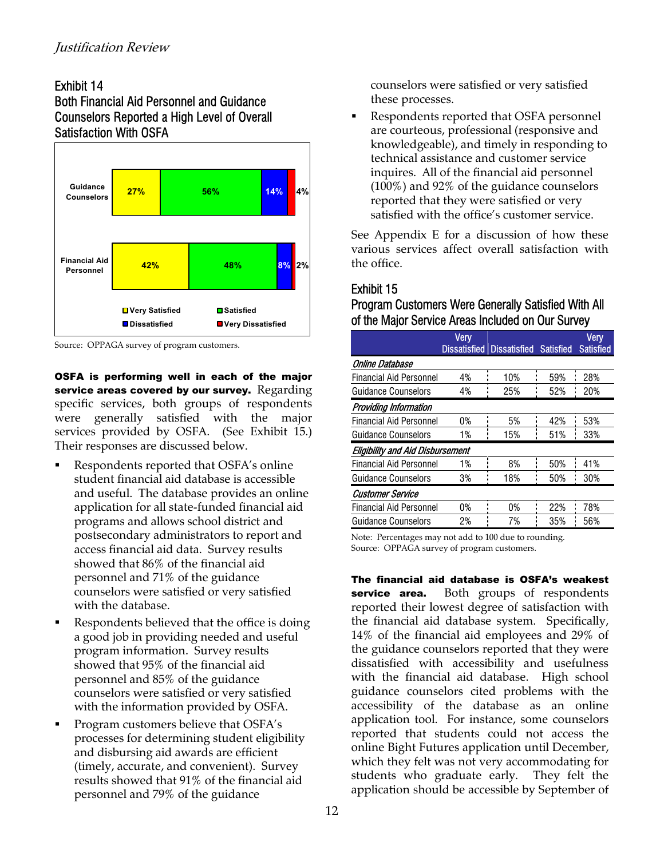#### Exhibit 14 Both Financial Aid Personnel and Guidance Counselors Reported a High Level of Overall Satisfaction With OSFA



Source: OPPAGA survey of program customers.

OSFA is performing well in each of the major service areas covered by our survey. Regarding specific services, both groups of respondents were generally satisfied with the major services provided by OSFA. (See Exhibit 15.) Their responses are discussed below.

- Respondents reported that OSFA's online student financial aid database is accessible and useful. The database provides an online application for all state-funded financial aid programs and allows school district and postsecondary administrators to report and access financial aid data. Survey results showed that 86% of the financial aid personnel and 71% of the guidance counselors were satisfied or very satisfied with the database.
- Respondents believed that the office is doing a good job in providing needed and useful program information. Survey results showed that 95% of the financial aid personnel and 85% of the guidance counselors were satisfied or very satisfied with the information provided by OSFA.
- Program customers believe that OSFA's processes for determining student eligibility and disbursing aid awards are efficient (timely, accurate, and convenient). Survey results showed that 91% of the financial aid personnel and 79% of the guidance

counselors were satisfied or very satisfied these processes.

 Respondents reported that OSFA personnel are courteous, professional (responsive and knowledgeable), and timely in responding to technical assistance and customer service inquires. All of the financial aid personnel (100%) and 92% of the guidance counselors reported that they were satisfied or very satisfied with the office's customer service.

See Appendix E for a discussion of how these various services affect overall satisfaction with the office.

#### Exhibit 15

#### Program Customers Were Generally Satisfied With All of the Major Service Areas Included on Our Survey

|                                         | <b>Very</b> | Dissatisfied Dissatisfied Satisfied |     | Very<br><b>Satisfied</b> |
|-----------------------------------------|-------------|-------------------------------------|-----|--------------------------|
| Online Database                         |             |                                     |     |                          |
| <b>Financial Aid Personnel</b>          | 4%          | 10%                                 | 59% | 28%                      |
| Guidance Counselors                     | 4%          | 25%                                 | 52% | 20%                      |
| <b>Providing Information</b>            |             |                                     |     |                          |
| <b>Financial Aid Personnel</b>          | 0%          | 5%                                  | 42% | 53%                      |
| <b>Guidance Counselors</b>              | 1%          | 15%                                 | 51% | 33%                      |
| <b>Eligibility and Aid Disbursement</b> |             |                                     |     |                          |
| <b>Financial Aid Personnel</b>          | 1%          | 8%                                  | 50% | 41%                      |
| <b>Guidance Counselors</b>              | 3%          | 18%                                 | 50% | 30%                      |
| <b>Customer Service</b>                 |             |                                     |     |                          |
| <b>Financial Aid Personnel</b>          | 0%          | 0%                                  | 22% | 78%                      |
| <b>Guidance Counselors</b>              | 2%          | 7%                                  | 35% | 56%                      |
|                                         |             |                                     |     |                          |

Note: Percentages may not add to 100 due to rounding. Source: OPPAGA survey of program customers.

The financial aid database is OSFA's weakest service area. Both groups of respondents reported their lowest degree of satisfaction with the financial aid database system. Specifically, 14% of the financial aid employees and 29% of the guidance counselors reported that they were dissatisfied with accessibility and usefulness with the financial aid database. High school guidance counselors cited problems with the accessibility of the database as an online application tool. For instance, some counselors reported that students could not access the online Bight Futures application until December, which they felt was not very accommodating for students who graduate early. They felt the application should be accessible by September of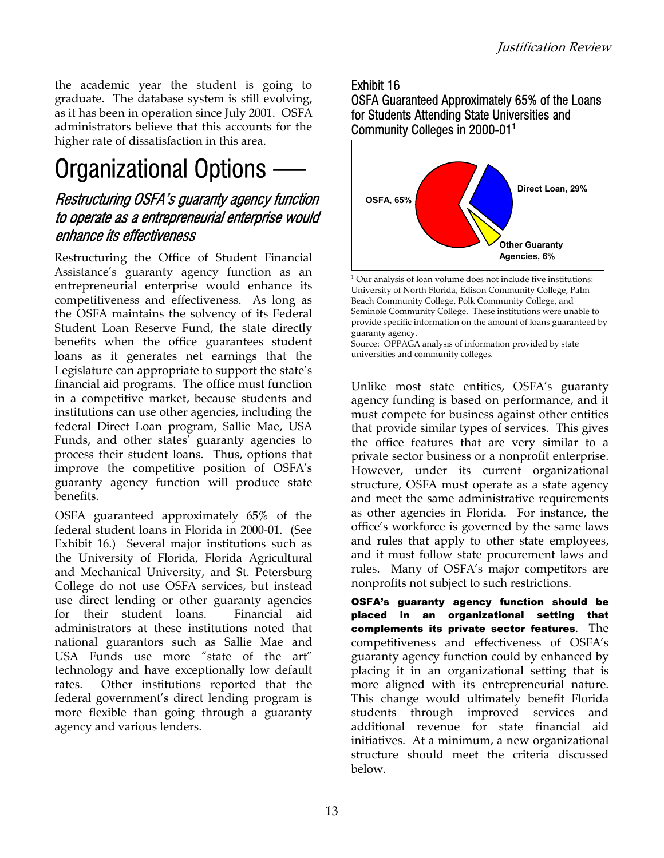the academic year the student is going to graduate. The database system is still evolving, as it has been in operation since July 2001. OSFA administrators believe that this accounts for the higher rate of dissatisfaction in this area.

### Organizational Options —

#### Restructuring OSFA's guaranty agency function to operate as a entrepreneurial enterprise would enhance its effectiveness

Restructuring the Office of Student Financial Assistance's guaranty agency function as an entrepreneurial enterprise would enhance its competitiveness and effectiveness. As long as the OSFA maintains the solvency of its Federal Student Loan Reserve Fund, the state directly benefits when the office guarantees student loans as it generates net earnings that the Legislature can appropriate to support the state's financial aid programs. The office must function in a competitive market, because students and institutions can use other agencies, including the federal Direct Loan program, Sallie Mae, USA Funds, and other states' guaranty agencies to process their student loans. Thus, options that improve the competitive position of OSFA's guaranty agency function will produce state benefits.

OSFA guaranteed approximately 65% of the federal student loans in Florida in 2000-01. (See Exhibit 16.) Several major institutions such as the University of Florida, Florida Agricultural and Mechanical University, and St. Petersburg College do not use OSFA services, but instead use direct lending or other guaranty agencies for their student loans. Financial aid administrators at these institutions noted that national guarantors such as Sallie Mae and USA Funds use more "state of the art" technology and have exceptionally low default rates. Other institutions reported that the federal government's direct lending program is more flexible than going through a guaranty agency and various lenders.

#### Exhibit 16 OSFA Guaranteed Approximately 65% of the Loans for Students Attending State Universities and Community Colleges in 2000-011



<sup>&</sup>lt;sup>1</sup> Our analysis of loan volume does not include five institutions: University of North Florida, Edison Community College, Palm Beach Community College, Polk Community College, and Seminole Community College. These institutions were unable to provide specific information on the amount of loans guaranteed by guaranty agency.

Source: OPPAGA analysis of information provided by state universities and community colleges.

Unlike most state entities, OSFA's guaranty agency funding is based on performance, and it must compete for business against other entities that provide similar types of services. This gives the office features that are very similar to a private sector business or a nonprofit enterprise. However, under its current organizational structure, OSFA must operate as a state agency and meet the same administrative requirements as other agencies in Florida. For instance, the office's workforce is governed by the same laws and rules that apply to other state employees, and it must follow state procurement laws and rules. Many of OSFA's major competitors are nonprofits not subject to such restrictions.

OSFA's guaranty agency function should be placed in an organizational setting that complements its private sector features. The competitiveness and effectiveness of OSFA's guaranty agency function could by enhanced by placing it in an organizational setting that is more aligned with its entrepreneurial nature. This change would ultimately benefit Florida students through improved services and additional revenue for state financial aid initiatives. At a minimum, a new organizational structure should meet the criteria discussed below.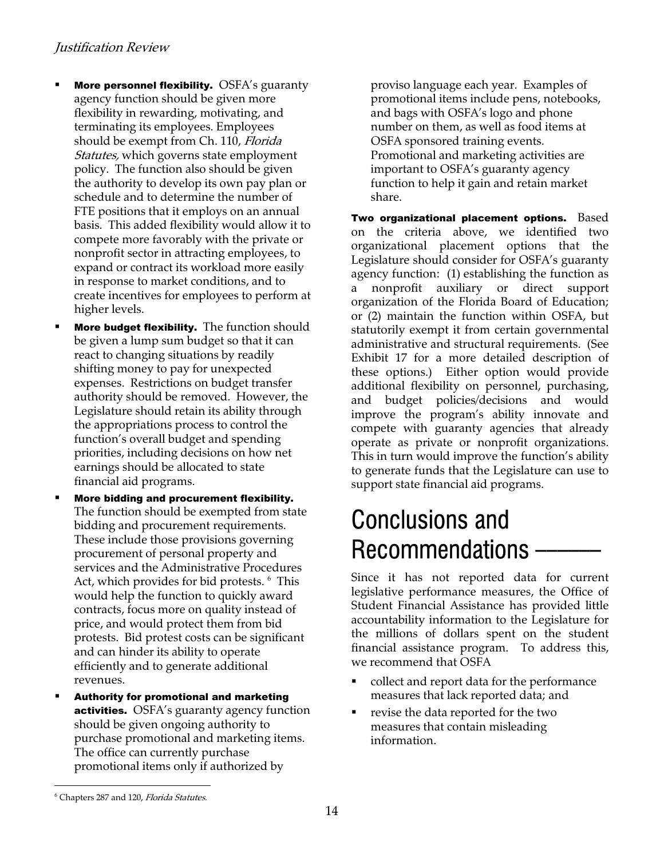- More personnel flexibility. OSFA's guaranty agency function should be given more flexibility in rewarding, motivating, and terminating its employees. Employees should be exempt from Ch. 110, Florida Statutes, which governs state employment policy. The function also should be given the authority to develop its own pay plan or schedule and to determine the number of FTE positions that it employs on an annual basis. This added flexibility would allow it to compete more favorably with the private or nonprofit sector in attracting employees, to expand or contract its workload more easily in response to market conditions, and to create incentives for employees to perform at higher levels.
- More budget flexibility. The function should be given a lump sum budget so that it can react to changing situations by readily shifting money to pay for unexpected expenses. Restrictions on budget transfer authority should be removed. However, the Legislature should retain its ability through the appropriations process to control the function's overall budget and spending priorities, including decisions on how net earnings should be allocated to state financial aid programs.
- More bidding and procurement flexibility. The function should be exempted from state bidding and procurement requirements. These include those provisions governing procurement of personal property and services and the Administrative Procedures Act, which provides for bid protests. <sup>[6](#page-13-0)</sup> This would help the function to quickly award contracts, focus more on quality instead of price, and would protect them from bid protests. Bid protest costs can be significant and can hinder its ability to operate efficiently and to generate additional revenues.
- Authority for promotional and marketing activities. OSFA's guaranty agency function should be given ongoing authority to purchase promotional and marketing items. The office can currently purchase promotional items only if authorized by

proviso language each year. Examples of promotional items include pens, notebooks, and bags with OSFA's logo and phone number on them, as well as food items at OSFA sponsored training events. Promotional and marketing activities are important to OSFA's guaranty agency function to help it gain and retain market share.

Two organizational placement options. Based on the criteria above, we identified two organizational placement options that the Legislature should consider for OSFA's guaranty agency function: (1) establishing the function as a nonprofit auxiliary or direct support organization of the Florida Board of Education; or (2) maintain the function within OSFA, but statutorily exempt it from certain governmental administrative and structural requirements. (See Exhibit 17 for a more detailed description of these options.) Either option would provide additional flexibility on personnel, purchasing, and budget policies/decisions and would improve the program's ability innovate and compete with guaranty agencies that already operate as private or nonprofit organizations. This in turn would improve the function's ability to generate funds that the Legislature can use to support state financial aid programs.

### Conclusions and Recommendations -

Since it has not reported data for current legislative performance measures, the Office of Student Financial Assistance has provided little accountability information to the Legislature for the millions of dollars spent on the student financial assistance program. To address this, we recommend that OSFA

- collect and report data for the performance measures that lack reported data; and
- revise the data reported for the two measures that contain misleading information.

l

<span id="page-13-0"></span><sup>&</sup>lt;sup>6</sup> Chapters 287 and 120, Florida Statutes.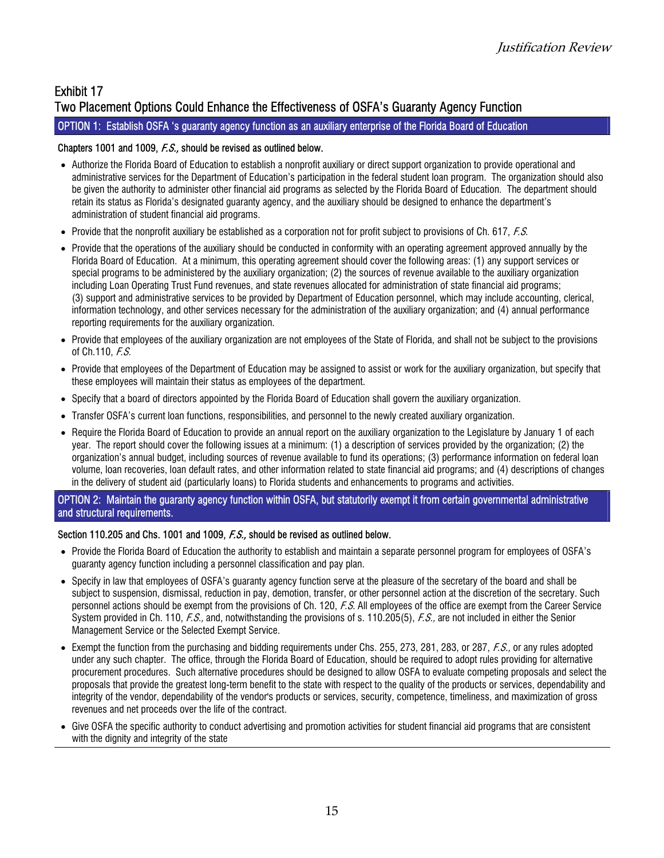#### Exhibit 17 Two Placement Options Could Enhance the Effectiveness of OSFA's Guaranty Agency Function

#### OPTION 1: Establish OSFA 's guaranty agency function as an auxiliary enterprise of the Florida Board of Education

#### Chapters 1001 and 1009, *F.S.*, should be revised as outlined below.

- Authorize the Florida Board of Education to establish a nonprofit auxiliary or direct support organization to provide operational and administrative services for the Department of Education's participation in the federal student loan program. The organization should also be given the authority to administer other financial aid programs as selected by the Florida Board of Education. The department should retain its status as Florida's designated guaranty agency, and the auxiliary should be designed to enhance the department's administration of student financial aid programs.
- Provide that the nonprofit auxiliary be established as a corporation not for profit subject to provisions of Ch. 617, *F.S.*
- Provide that the operations of the auxiliary should be conducted in conformity with an operating agreement approved annually by the Florida Board of Education. At a minimum, this operating agreement should cover the following areas: (1) any support services or special programs to be administered by the auxiliary organization; (2) the sources of revenue available to the auxiliary organization including Loan Operating Trust Fund revenues, and state revenues allocated for administration of state financial aid programs; (3) support and administrative services to be provided by Department of Education personnel, which may include accounting, clerical, information technology, and other services necessary for the administration of the auxiliary organization; and (4) annual performance reporting requirements for the auxiliary organization.
- Provide that employees of the auxiliary organization are not employees of the State of Florida, and shall not be subject to the provisions of Ch.110, F.S.
- Provide that employees of the Department of Education may be assigned to assist or work for the auxiliary organization, but specify that these employees will maintain their status as employees of the department.
- Specify that a board of directors appointed by the Florida Board of Education shall govern the auxiliary organization.
- Transfer OSFA's current loan functions, responsibilities, and personnel to the newly created auxiliary organization.
- Require the Florida Board of Education to provide an annual report on the auxiliary organization to the Legislature by January 1 of each year. The report should cover the following issues at a minimum: (1) a description of services provided by the organization; (2) the organization's annual budget, including sources of revenue available to fund its operations; (3) performance information on federal loan volume, loan recoveries, loan default rates, and other information related to state financial aid programs; and (4) descriptions of changes in the delivery of student aid (particularly loans) to Florida students and enhancements to programs and activities.

OPTION 2: Maintain the guaranty agency function within OSFA, but statutorily exempt it from certain governmental administrative and structural requirements.

#### Section 110.205 and Chs. 1001 and 1009, F.S., should be revised as outlined below.

- Provide the Florida Board of Education the authority to establish and maintain a separate personnel program for employees of OSFA's guaranty agency function including a personnel classification and pay plan.
- Specify in law that employees of OSFA's guaranty agency function serve at the pleasure of the secretary of the board and shall be subject to suspension, dismissal, reduction in pay, demotion, transfer, or other personnel action at the discretion of the secretary. Such personnel actions should be exempt from the provisions of Ch. 120, F.S. All employees of the office are exempt from the Career Service System provided in Ch. 110, F.S., and, notwithstanding the provisions of s. 110.205(5), F.S., are not included in either the Senior Management Service or the Selected Exempt Service.
- Exempt the function from the purchasing and bidding requirements under Chs. 255, 273, 281, 283, or 287, *F.S.*, or any rules adopted under any such chapter. The office, through the Florida Board of Education, should be required to adopt rules providing for alternative procurement procedures. Such alternative procedures should be designed to allow OSFA to evaluate competing proposals and select the proposals that provide the greatest long-term benefit to the state with respect to the quality of the products or services, dependability and integrity of the vendor, dependability of the vendor's products or services, security, competence, timeliness, and maximization of gross revenues and net proceeds over the life of the contract.
- Give OSFA the specific authority to conduct advertising and promotion activities for student financial aid programs that are consistent with the dignity and integrity of the state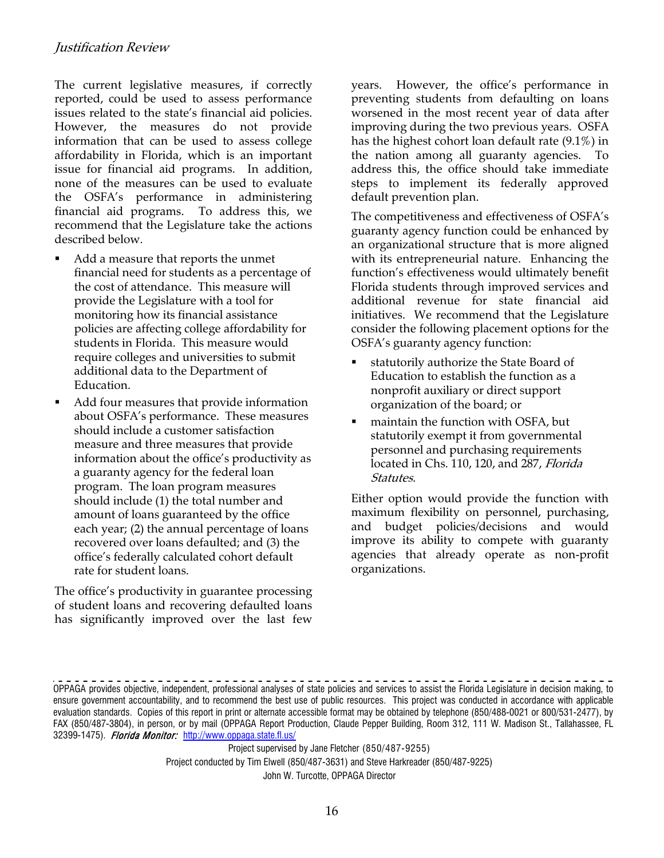The current legislative measures, if correctly reported, could be used to assess performance issues related to the state's financial aid policies. However, the measures do not provide information that can be used to assess college affordability in Florida, which is an important issue for financial aid programs. In addition, none of the measures can be used to evaluate the OSFA's performance in administering financial aid programs. To address this, we recommend that the Legislature take the actions described below.

- Add a measure that reports the unmet financial need for students as a percentage of the cost of attendance. This measure will provide the Legislature with a tool for monitoring how its financial assistance policies are affecting college affordability for students in Florida. This measure would require colleges and universities to submit additional data to the Department of Education.
- Add four measures that provide information organization of the board; or about OSFA's performance. These measures should include a customer satisfaction measure and three measures that provide information about the office's productivity as a guaranty agency for the federal loan program. The loan program measures should include (1) the total number and amount of loans guaranteed by the office each year; (2) the annual percentage of loans recovered over loans defaulted; and (3) the office's federally calculated cohort default rate for student loans.

The office's productivity in guarantee processing of student loans and recovering defaulted loans has significantly improved over the last few years. However, the office's performance in preventing students from defaulting on loans worsened in the most recent year of data after improving during the two previous years. OSFA has the highest cohort loan default rate (9.1%) in the nation among all guaranty agencies. To address this, the office should take immediate steps to implement its federally approved default prevention plan.

The competitiveness and effectiveness of OSFA's guaranty agency function could be enhanced by an organizational structure that is more aligned with its entrepreneurial nature. Enhancing the function's effectiveness would ultimately benefit Florida students through improved services and additional revenue for state financial aid initiatives. We recommend that the Legislature consider the following placement options for the OSFA's guaranty agency function:

- statutorily authorize the State Board of Education to establish the function as a nonprofit auxiliary or direct support
- located in Chs. 110, 120, and 287, Florida maintain the function with OSFA, but statutorily exempt it from governmental personnel and purchasing requirements Statutes.

Either option would provide the function with maximum flexibility on personnel, purchasing, and budget policies/decisions and would improve its ability to compete with guaranty agencies that already operate as non-profit organizations.

Project supervised by Jane Fletcher (850/487-9255) Project conducted by Tim Elwell (850/487-3631) and Steve Harkreader (850/487-9225) John W. Turcotte, OPPAGA Director

OPPAGA provides objective, independent, professional analyses of state policies and services to assist the Florida Legislature in decision making, to ensure government accountability, and to recommend the best use of public resources. This project was conducted in accordance with applicable evaluation standards. Copies of this report in print or alternate accessible format may be obtained by telephone (850/488-0021 or 800/531-2477), by FAX (850/487-3804), in person, or by mail (OPPAGA Report Production, Claude Pepper Building, Room 312, 111 W. Madison St., Tallahassee, FL 32399-1475). Florida Monitor: http://www.oppaga.state.fl.us/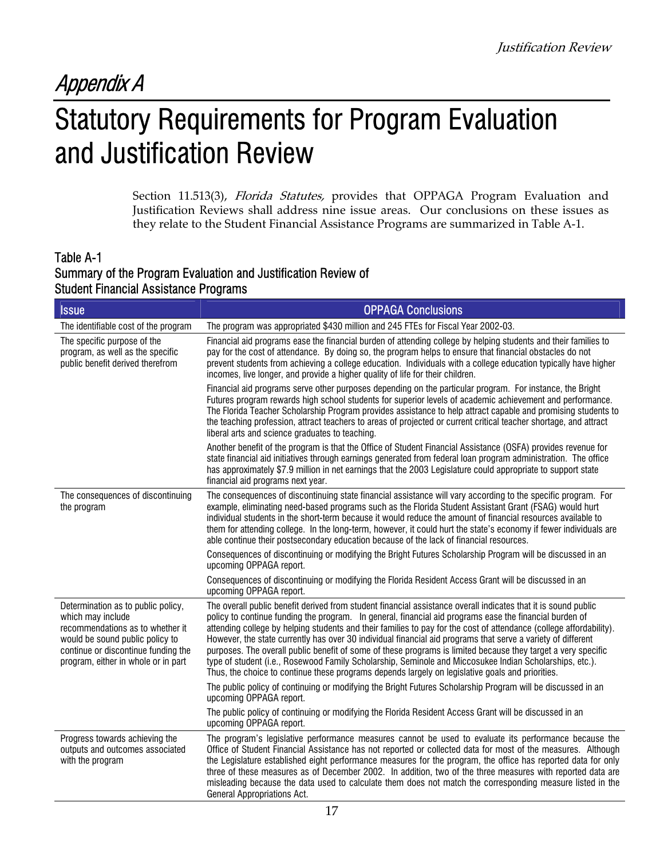### Appendix A

### Statutory Requirements for Program Evaluation and Justification Review

Section 11.513(3), Florida Statutes, provides that OPPAGA Program Evaluation and Justification Reviews shall address nine issue areas. Our conclusions on these issues as they relate to the Student Financial Assistance Programs are summarized in Table A-1.

#### Table A-1 Summary of the Program Evaluation and Justification Review of Student Financial Assistance Programs

| <b>Issue</b>                                                                                                                                                                                                 | <b>OPPAGA Conclusions</b>                                                                                                                                                                                                                                                                                                                                                                                                                                                                                                                                                                                                                                                                                                                                                                        |
|--------------------------------------------------------------------------------------------------------------------------------------------------------------------------------------------------------------|--------------------------------------------------------------------------------------------------------------------------------------------------------------------------------------------------------------------------------------------------------------------------------------------------------------------------------------------------------------------------------------------------------------------------------------------------------------------------------------------------------------------------------------------------------------------------------------------------------------------------------------------------------------------------------------------------------------------------------------------------------------------------------------------------|
| The identifiable cost of the program                                                                                                                                                                         | The program was appropriated \$430 million and 245 FTEs for Fiscal Year 2002-03.                                                                                                                                                                                                                                                                                                                                                                                                                                                                                                                                                                                                                                                                                                                 |
| The specific purpose of the<br>program, as well as the specific<br>public benefit derived therefrom                                                                                                          | Financial aid programs ease the financial burden of attending college by helping students and their families to<br>pay for the cost of attendance. By doing so, the program helps to ensure that financial obstacles do not<br>prevent students from achieving a college education. Individuals with a college education typically have higher<br>incomes, live longer, and provide a higher quality of life for their children.                                                                                                                                                                                                                                                                                                                                                                 |
|                                                                                                                                                                                                              | Financial aid programs serve other purposes depending on the particular program. For instance, the Bright<br>Futures program rewards high school students for superior levels of academic achievement and performance.<br>The Florida Teacher Scholarship Program provides assistance to help attract capable and promising students to<br>the teaching profession, attract teachers to areas of projected or current critical teacher shortage, and attract<br>liberal arts and science graduates to teaching.                                                                                                                                                                                                                                                                                  |
|                                                                                                                                                                                                              | Another benefit of the program is that the Office of Student Financial Assistance (OSFA) provides revenue for<br>state financial aid initiatives through earnings generated from federal loan program administration. The office<br>has approximately \$7.9 million in net earnings that the 2003 Legislature could appropriate to support state<br>financial aid programs next year.                                                                                                                                                                                                                                                                                                                                                                                                            |
| The consequences of discontinuing<br>the program                                                                                                                                                             | The consequences of discontinuing state financial assistance will vary according to the specific program. For<br>example, eliminating need-based programs such as the Florida Student Assistant Grant (FSAG) would hurt<br>individual students in the short-term because it would reduce the amount of financial resources available to<br>them for attending college. In the long-term, however, it could hurt the state's economy if fewer individuals are<br>able continue their postsecondary education because of the lack of financial resources.                                                                                                                                                                                                                                          |
|                                                                                                                                                                                                              | Consequences of discontinuing or modifying the Bright Futures Scholarship Program will be discussed in an<br>upcoming OPPAGA report.                                                                                                                                                                                                                                                                                                                                                                                                                                                                                                                                                                                                                                                             |
|                                                                                                                                                                                                              | Consequences of discontinuing or modifying the Florida Resident Access Grant will be discussed in an<br>upcoming OPPAGA report.                                                                                                                                                                                                                                                                                                                                                                                                                                                                                                                                                                                                                                                                  |
| Determination as to public policy,<br>which may include<br>recommendations as to whether it<br>would be sound public policy to<br>continue or discontinue funding the<br>program, either in whole or in part | The overall public benefit derived from student financial assistance overall indicates that it is sound public<br>policy to continue funding the program. In general, financial aid programs ease the financial burden of<br>attending college by helping students and their families to pay for the cost of attendance (college affordability).<br>However, the state currently has over 30 individual financial aid programs that serve a variety of different<br>purposes. The overall public benefit of some of these programs is limited because they target a very specific<br>type of student (i.e., Rosewood Family Scholarship, Seminole and Miccosukee Indian Scholarships, etc.).<br>Thus, the choice to continue these programs depends largely on legislative goals and priorities. |
|                                                                                                                                                                                                              | The public policy of continuing or modifying the Bright Futures Scholarship Program will be discussed in an<br>upcoming OPPAGA report.                                                                                                                                                                                                                                                                                                                                                                                                                                                                                                                                                                                                                                                           |
|                                                                                                                                                                                                              | The public policy of continuing or modifying the Florida Resident Access Grant will be discussed in an<br>upcoming OPPAGA report.                                                                                                                                                                                                                                                                                                                                                                                                                                                                                                                                                                                                                                                                |
| Progress towards achieving the<br>outputs and outcomes associated<br>with the program                                                                                                                        | The program's legislative performance measures cannot be used to evaluate its performance because the<br>Office of Student Financial Assistance has not reported or collected data for most of the measures. Although<br>the Legislature established eight performance measures for the program, the office has reported data for only<br>three of these measures as of December 2002. In addition, two of the three measures with reported data are<br>misleading because the data used to calculate them does not match the corresponding measure listed in the<br>General Appropriations Act.                                                                                                                                                                                                 |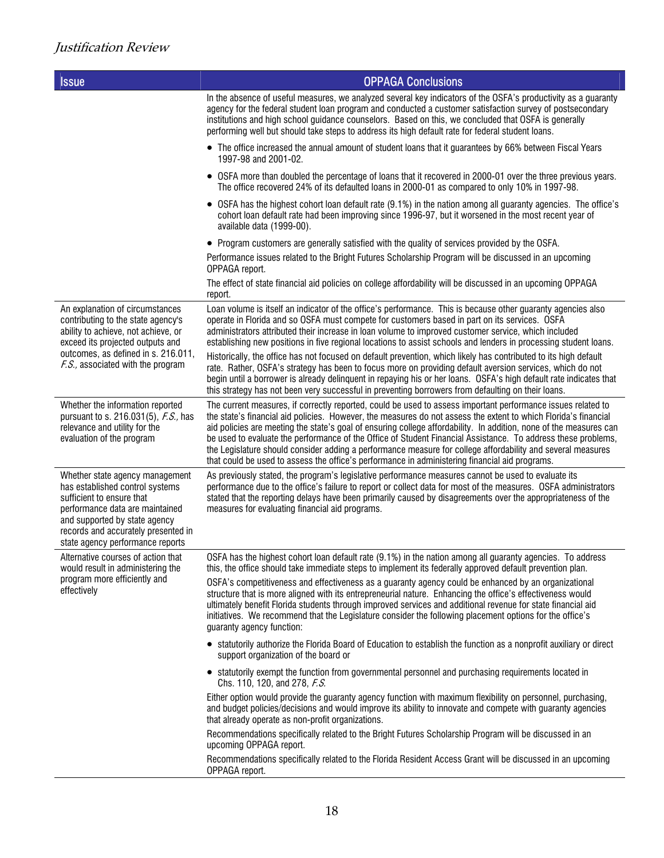| <b>Issue</b>                                                                                                                                                                                                                                   | <b>OPPAGA Conclusions</b>                                                                                                                                                                                                                                                                                                                                                                                                                                                                                                                                                                                                                                                               |
|------------------------------------------------------------------------------------------------------------------------------------------------------------------------------------------------------------------------------------------------|-----------------------------------------------------------------------------------------------------------------------------------------------------------------------------------------------------------------------------------------------------------------------------------------------------------------------------------------------------------------------------------------------------------------------------------------------------------------------------------------------------------------------------------------------------------------------------------------------------------------------------------------------------------------------------------------|
|                                                                                                                                                                                                                                                | In the absence of useful measures, we analyzed several key indicators of the OSFA's productivity as a guaranty<br>agency for the federal student loan program and conducted a customer satisfaction survey of postsecondary<br>institutions and high school guidance counselors. Based on this, we concluded that OSFA is generally<br>performing well but should take steps to address its high default rate for federal student loans.                                                                                                                                                                                                                                                |
|                                                                                                                                                                                                                                                | • The office increased the annual amount of student loans that it guarantees by 66% between Fiscal Years<br>1997-98 and 2001-02.                                                                                                                                                                                                                                                                                                                                                                                                                                                                                                                                                        |
|                                                                                                                                                                                                                                                | • OSFA more than doubled the percentage of loans that it recovered in 2000-01 over the three previous years.<br>The office recovered 24% of its defaulted loans in 2000-01 as compared to only 10% in 1997-98.                                                                                                                                                                                                                                                                                                                                                                                                                                                                          |
|                                                                                                                                                                                                                                                | • OSFA has the highest cohort loan default rate (9.1%) in the nation among all guaranty agencies. The office's<br>cohort loan default rate had been improving since 1996-97, but it worsened in the most recent year of<br>available data (1999-00).                                                                                                                                                                                                                                                                                                                                                                                                                                    |
|                                                                                                                                                                                                                                                | • Program customers are generally satisfied with the quality of services provided by the OSFA.                                                                                                                                                                                                                                                                                                                                                                                                                                                                                                                                                                                          |
|                                                                                                                                                                                                                                                | Performance issues related to the Bright Futures Scholarship Program will be discussed in an upcoming<br>OPPAGA report.                                                                                                                                                                                                                                                                                                                                                                                                                                                                                                                                                                 |
|                                                                                                                                                                                                                                                | The effect of state financial aid policies on college affordability will be discussed in an upcoming OPPAGA<br>report.                                                                                                                                                                                                                                                                                                                                                                                                                                                                                                                                                                  |
| An explanation of circumstances<br>contributing to the state agency's<br>ability to achieve, not achieve, or<br>exceed its projected outputs and<br>outcomes, as defined in s. 216.011,<br>F.S., associated with the program                   | Loan volume is itself an indicator of the office's performance. This is because other guaranty agencies also<br>operate in Florida and so OSFA must compete for customers based in part on its services. OSFA<br>administrators attributed their increase in loan volume to improved customer service, which included<br>establishing new positions in five regional locations to assist schools and lenders in processing student loans.                                                                                                                                                                                                                                               |
|                                                                                                                                                                                                                                                | Historically, the office has not focused on default prevention, which likely has contributed to its high default<br>rate. Rather, OSFA's strategy has been to focus more on providing default aversion services, which do not<br>begin until a borrower is already delinquent in repaying his or her loans. OSFA's high default rate indicates that<br>this strategy has not been very successful in preventing borrowers from defaulting on their loans.                                                                                                                                                                                                                               |
| Whether the information reported<br>pursuant to s. 216.031(5), F.S., has<br>relevance and utility for the<br>evaluation of the program                                                                                                         | The current measures, if correctly reported, could be used to assess important performance issues related to<br>the state's financial aid policies. However, the measures do not assess the extent to which Florida's financial<br>aid policies are meeting the state's goal of ensuring college affordability. In addition, none of the measures can<br>be used to evaluate the performance of the Office of Student Financial Assistance. To address these problems,<br>the Legislature should consider adding a performance measure for college affordability and several measures<br>that could be used to assess the office's performance in administering financial aid programs. |
| Whether state agency management<br>has established control systems<br>sufficient to ensure that<br>performance data are maintained<br>and supported by state agency<br>records and accurately presented in<br>state agency performance reports | As previously stated, the program's legislative performance measures cannot be used to evaluate its<br>performance due to the office's failure to report or collect data for most of the measures. OSFA administrators<br>stated that the reporting delays have been primarily caused by disagreements over the appropriateness of the<br>measures for evaluating financial aid programs.                                                                                                                                                                                                                                                                                               |
| Alternative courses of action that<br>would result in administering the                                                                                                                                                                        | OSFA has the highest cohort loan default rate (9.1%) in the nation among all guaranty agencies. To address<br>this, the office should take immediate steps to implement its federally approved default prevention plan.                                                                                                                                                                                                                                                                                                                                                                                                                                                                 |
| program more efficiently and<br>effectively                                                                                                                                                                                                    | OSFA's competitiveness and effectiveness as a guaranty agency could be enhanced by an organizational<br>structure that is more aligned with its entrepreneurial nature. Enhancing the office's effectiveness would<br>ultimately benefit Florida students through improved services and additional revenue for state financial aid<br>initiatives. We recommend that the Legislature consider the following placement options for the office's<br>guaranty agency function:                                                                                                                                                                                                             |
|                                                                                                                                                                                                                                                | • statutorily authorize the Florida Board of Education to establish the function as a nonprofit auxiliary or direct<br>support organization of the board or                                                                                                                                                                                                                                                                                                                                                                                                                                                                                                                             |
|                                                                                                                                                                                                                                                | • statutorily exempt the function from governmental personnel and purchasing requirements located in<br>Chs. 110, 120, and 278, F.S.                                                                                                                                                                                                                                                                                                                                                                                                                                                                                                                                                    |
|                                                                                                                                                                                                                                                | Either option would provide the guaranty agency function with maximum flexibility on personnel, purchasing,<br>and budget policies/decisions and would improve its ability to innovate and compete with guaranty agencies<br>that already operate as non-profit organizations.                                                                                                                                                                                                                                                                                                                                                                                                          |
|                                                                                                                                                                                                                                                | Recommendations specifically related to the Bright Futures Scholarship Program will be discussed in an<br>upcoming OPPAGA report.                                                                                                                                                                                                                                                                                                                                                                                                                                                                                                                                                       |
|                                                                                                                                                                                                                                                | Recommendations specifically related to the Florida Resident Access Grant will be discussed in an upcoming<br>OPPAGA report.                                                                                                                                                                                                                                                                                                                                                                                                                                                                                                                                                            |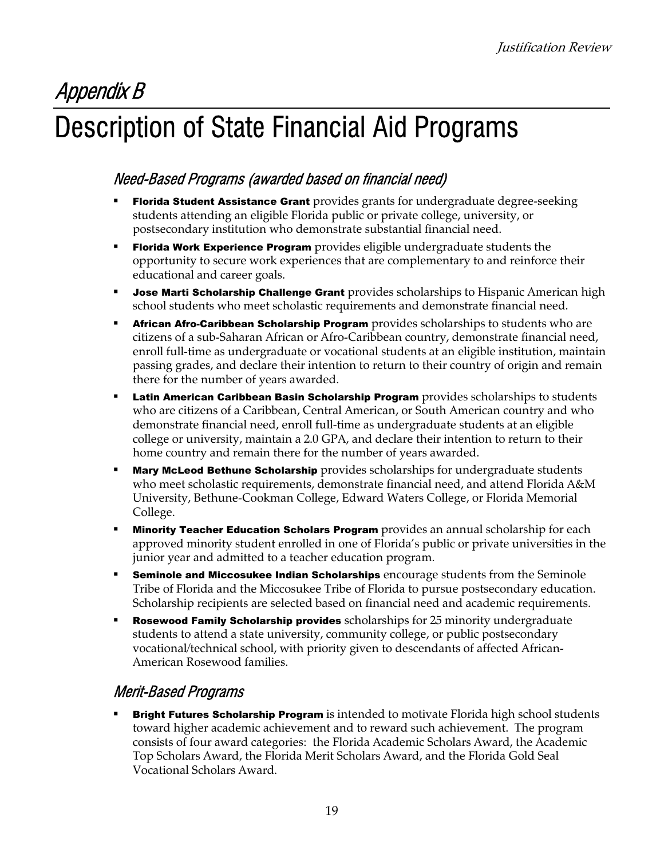### Appendix B Description of State Financial Aid Programs

### Need-Based Programs (awarded based on financial need)

- Florida Student Assistance Grant provides grants for undergraduate degree-seeking students attending an eligible Florida public or private college, university, or postsecondary institution who demonstrate substantial financial need.
- Florida Work Experience Program provides eligible undergraduate students the opportunity to secure work experiences that are complementary to and reinforce their educational and career goals.
- Jose Marti Scholarship Challenge Grant provides scholarships to Hispanic American high school students who meet scholastic requirements and demonstrate financial need.
- African Afro-Caribbean Scholarship Program provides scholarships to students who are citizens of a sub-Saharan African or Afro-Caribbean country, demonstrate financial need, enroll full-time as undergraduate or vocational students at an eligible institution, maintain passing grades, and declare their intention to return to their country of origin and remain there for the number of years awarded.
- **Latin American Caribbean Basin Scholarship Program** provides scholarships to students who are citizens of a Caribbean, Central American, or South American country and who demonstrate financial need, enroll full-time as undergraduate students at an eligible college or university, maintain a 2.0 GPA, and declare their intention to return to their home country and remain there for the number of years awarded.
- Mary McLeod Bethune Scholarship provides scholarships for undergraduate students who meet scholastic requirements, demonstrate financial need, and attend Florida A&M University, Bethune-Cookman College, Edward Waters College, or Florida Memorial College.
- Minority Teacher Education Scholars Program provides an annual scholarship for each approved minority student enrolled in one of Florida's public or private universities in the junior year and admitted to a teacher education program.
- Seminole and Miccosukee Indian Scholarships encourage students from the Seminole Tribe of Florida and the Miccosukee Tribe of Florida to pursue postsecondary education. Scholarship recipients are selected based on financial need and academic requirements.
- Rosewood Family Scholarship provides scholarships for 25 minority undergraduate students to attend a state university, community college, or public postsecondary vocational/technical school, with priority given to descendants of affected African-American Rosewood families.

#### Merit-Based Programs

**Bright Futures Scholarship Program** is intended to motivate Florida high school students toward higher academic achievement and to reward such achievement. The program consists of four award categories: the Florida Academic Scholars Award, the Academic Top Scholars Award, the Florida Merit Scholars Award, and the Florida Gold Seal Vocational Scholars Award.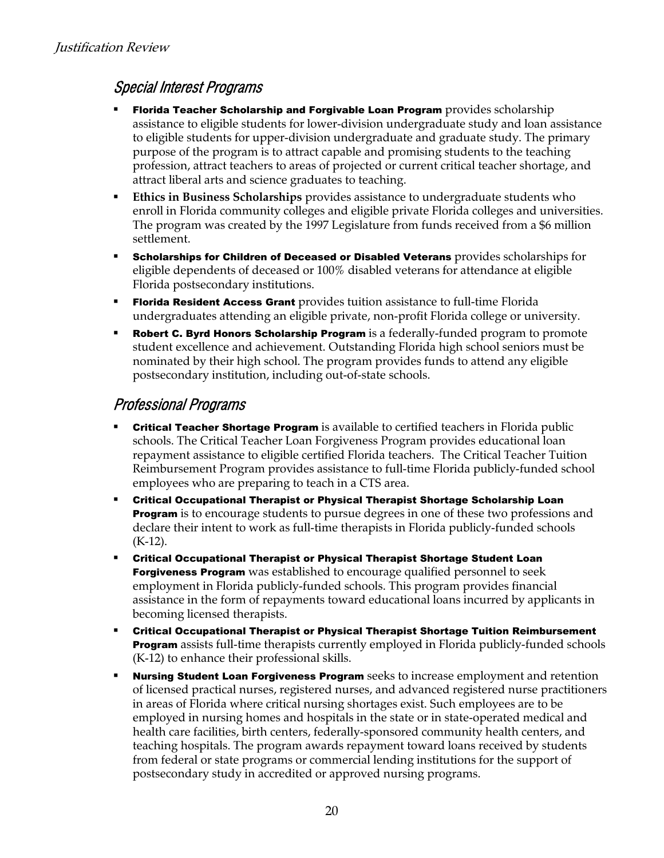#### Special Interest Programs

- Florida Teacher Scholarship and Forgivable Loan Program provides scholarship assistance to eligible students for lower-division undergraduate study and loan assistance to eligible students for upper-division undergraduate and graduate study. The primary purpose of the program is to attract capable and promising students to the teaching profession, attract teachers to areas of projected or current critical teacher shortage, and attract liberal arts and science graduates to teaching.
- **Ethics in Business Scholarships** provides assistance to undergraduate students who enroll in Florida community colleges and eligible private Florida colleges and universities. The program was created by the 1997 Legislature from funds received from a \$6 million settlement.
- Scholarships for Children of Deceased or Disabled Veterans provides scholarships for eligible dependents of deceased or 100% disabled veterans for attendance at eligible Florida postsecondary institutions.
- **Florida Resident Access Grant** provides tuition assistance to full-time Florida undergraduates attending an eligible private, non-profit Florida college or university.
- Robert C. Byrd Honors Scholarship Program is a federally-funded program to promote student excellence and achievement. Outstanding Florida high school seniors must be nominated by their high school. The program provides funds to attend any eligible postsecondary institution, including out-of-state schools.

#### Professional Programs

- **Critical Teacher Shortage Program** is available to certified teachers in Florida public schools. The Critical Teacher Loan Forgiveness Program provides educational loan repayment assistance to eligible certified Florida teachers. The Critical Teacher Tuition Reimbursement Program provides assistance to full-time Florida publicly-funded school employees who are preparing to teach in a CTS area.
- Critical Occupational Therapist or Physical Therapist Shortage Scholarship Loan **Program** is to encourage students to pursue degrees in one of these two professions and declare their intent to work as full-time therapists in Florida publicly-funded schools (K-12).
- Critical Occupational Therapist or Physical Therapist Shortage Student Loan **Forgiveness Program** was established to encourage qualified personnel to seek employment in Florida publicly-funded schools. This program provides financial assistance in the form of repayments toward educational loans incurred by applicants in becoming licensed therapists.
- Critical Occupational Therapist or Physical Therapist Shortage Tuition Reimbursement **Program** assists full-time therapists currently employed in Florida publicly-funded schools (K-12) to enhance their professional skills.
- Nursing Student Loan Forgiveness Program seeks to increase employment and retention of licensed practical nurses, registered nurses, and advanced registered nurse practitioners in areas of Florida where critical nursing shortages exist. Such employees are to be employed in nursing homes and hospitals in the state or in state-operated medical and health care facilities, birth centers, federally-sponsored community health centers, and teaching hospitals. The program awards repayment toward loans received by students from federal or state programs or commercial lending institutions for the support of postsecondary study in accredited or approved nursing programs.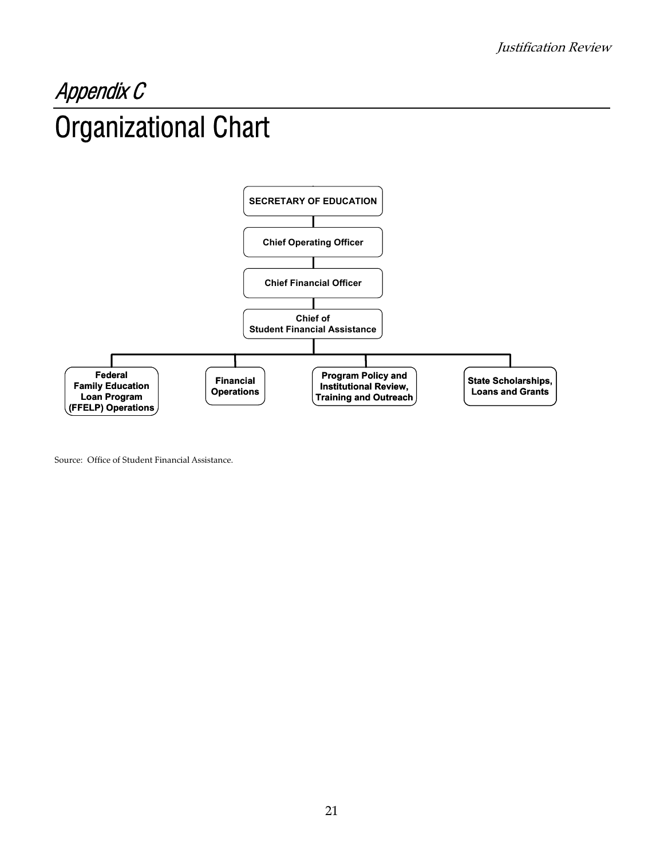### Appendix C Organizational Chart



Source: Office of Student Financial Assistance.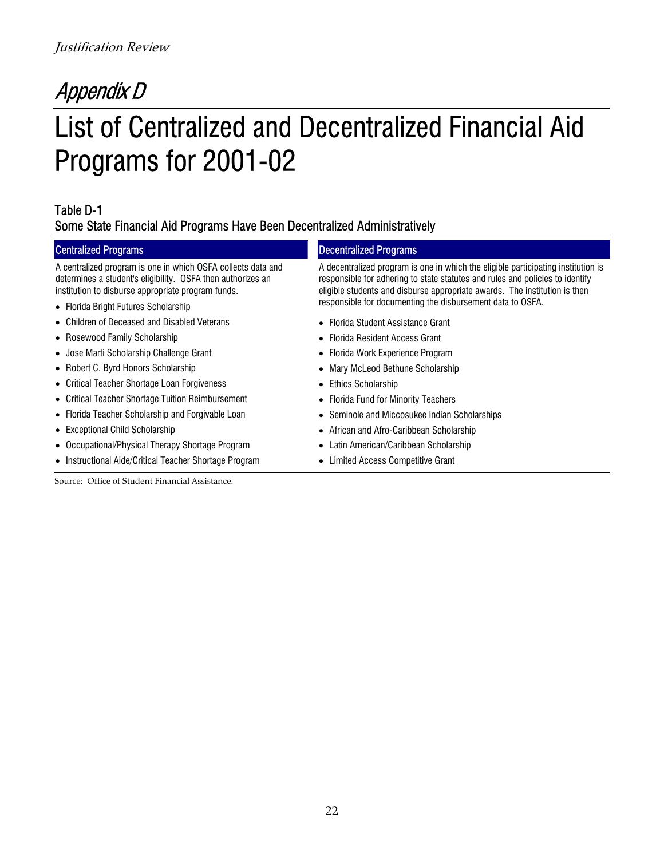### Appendix D List of Centralized and Decentralized Financial Aid Programs for 2001-02

#### Table D-1 Some State Financial Aid Programs Have Been Decentralized Administratively

#### Centralized Programs **Decentralized Programs**

A centralized program is one in which OSFA collects data and determines a student's eligibility. OSFA then authorizes an institution to disburse appropriate program funds.

- 
- Children of Deceased and Disabled Veterans
- Rosewood Family Scholarship
- Jose Marti Scholarship Challenge Grant
- Robert C. Byrd Honors Scholarship
- Critical Teacher Shortage Loan Forgiveness
- Critical Teacher Shortage Tuition Reimbursement
- Florida Teacher Scholarship and Forgivable Loan
- Exceptional Child Scholarship
- Occupational/Physical Therapy Shortage Program
- Instructional Aide/Critical Teacher Shortage Program

Source: Office of Student Financial Assistance.

A decentralized program is one in which the eligible participating institution is responsible for adhering to state statutes and rules and policies to identify eligible students and disburse appropriate awards. The institution is then • Florida Bright Futures Scholarship **by the Contract Construction** responsible for documenting the disbursement data to OSFA.

- Florida Student Assistance Grant
- Florida Resident Access Grant
- Florida Work Experience Program
- Mary McLeod Bethune Scholarship
- Ethics Scholarship
- Florida Fund for Minority Teachers
- Seminole and Miccosukee Indian Scholarships
- African and Afro-Caribbean Scholarship
- Latin American/Caribbean Scholarship
- Limited Access Competitive Grant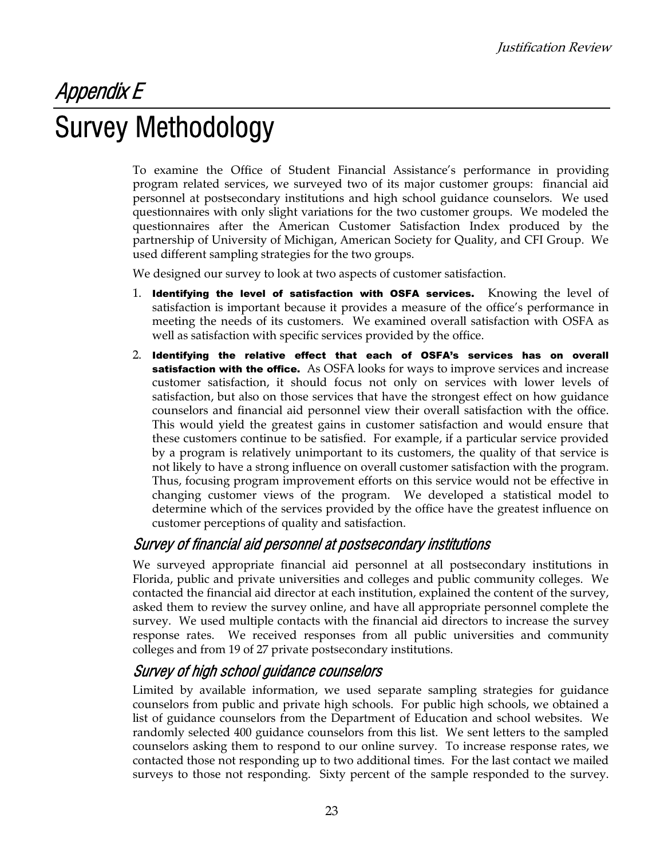## Appendix E Survey Methodology

To examine the Office of Student Financial Assistance's performance in providing program related services, we surveyed two of its major customer groups: financial aid personnel at postsecondary institutions and high school guidance counselors. We used questionnaires with only slight variations for the two customer groups. We modeled the questionnaires after the American Customer Satisfaction Index produced by the partnership of University of Michigan, American Society for Quality, and CFI Group. We used different sampling strategies for the two groups.

We designed our survey to look at two aspects of customer satisfaction.

- 1. Identifying the level of satisfaction with OSFA services. Knowing the level of satisfaction is important because it provides a measure of the office's performance in meeting the needs of its customers. We examined overall satisfaction with OSFA as well as satisfaction with specific services provided by the office.
- 2. Identifying the relative effect that each of OSFA's services has on overall **satisfaction with the office.** As OSFA looks for ways to improve services and increase customer satisfaction, it should focus not only on services with lower levels of satisfaction, but also on those services that have the strongest effect on how guidance counselors and financial aid personnel view their overall satisfaction with the office. This would yield the greatest gains in customer satisfaction and would ensure that these customers continue to be satisfied. For example, if a particular service provided by a program is relatively unimportant to its customers, the quality of that service is not likely to have a strong influence on overall customer satisfaction with the program. Thus, focusing program improvement efforts on this service would not be effective in changing customer views of the program. We developed a statistical model to determine which of the services provided by the office have the greatest influence on customer perceptions of quality and satisfaction.

#### Survey of financial aid personnel at postsecondary institutions

We surveyed appropriate financial aid personnel at all postsecondary institutions in Florida, public and private universities and colleges and public community colleges. We contacted the financial aid director at each institution, explained the content of the survey, asked them to review the survey online, and have all appropriate personnel complete the survey. We used multiple contacts with the financial aid directors to increase the survey response rates. We received responses from all public universities and community colleges and from 19 of 27 private postsecondary institutions.

#### Survey of high school guidance counselors

Limited by available information, we used separate sampling strategies for guidance counselors from public and private high schools. For public high schools, we obtained a list of guidance counselors from the Department of Education and school websites. We randomly selected 400 guidance counselors from this list. We sent letters to the sampled counselors asking them to respond to our online survey. To increase response rates, we contacted those not responding up to two additional times. For the last contact we mailed surveys to those not responding. Sixty percent of the sample responded to the survey.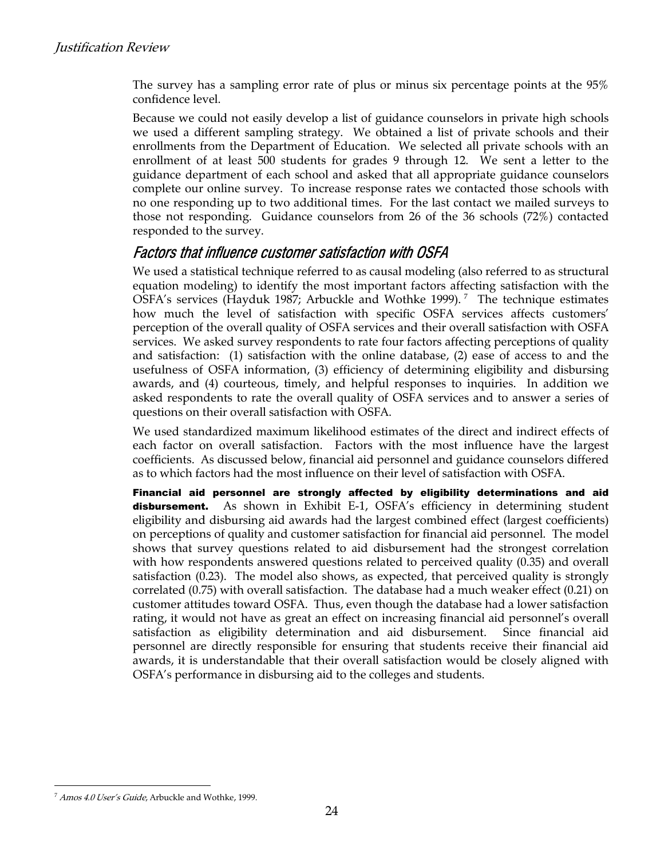The survey has a sampling error rate of plus or minus six percentage points at the 95% confidence level.

Because we could not easily develop a list of guidance counselors in private high schools we used a different sampling strategy. We obtained a list of private schools and their enrollments from the Department of Education. We selected all private schools with an enrollment of at least 500 students for grades 9 through 12. We sent a letter to the guidance department of each school and asked that all appropriate guidance counselors complete our online survey. To increase response rates we contacted those schools with no one responding up to two additional times. For the last contact we mailed surveys to those not responding. Guidance counselors from 26 of the 36 schools (72%) contacted responded to the survey.

#### Factors that influence customer satisfaction with OSFA

We used a statistical technique referred to as causal modeling (also referred to as structural equation modeling) to identify the most important factors affecting satisfaction with the OSFA's services (Hayduk 1987; Arbuckle and Wothke 1999).<sup>7</sup> The technique estimates how much the level of satisfaction with specific OSFA services affects customers' perception of the overall quality of OSFA services and their overall satisfaction with OSFA services. We asked survey respondents to rate four factors affecting perceptions of quality and satisfaction: (1) satisfaction with the online database, (2) ease of access to and the usefulness of OSFA information, (3) efficiency of determining eligibility and disbursing awards, and (4) courteous, timely, and helpful responses to inquiries. In addition we asked respondents to rate the overall quality of OSFA services and to answer a series of questions on their overall satisfaction with OSFA.

We used standardized maximum likelihood estimates of the direct and indirect effects of each factor on overall satisfaction. Factors with the most influence have the largest coefficients. As discussed below, financial aid personnel and guidance counselors differed as to which factors had the most influence on their level of satisfaction with OSFA.

Financial aid personnel are strongly affected by eligibility determinations and aid **disbursement.** As shown in Exhibit E-1, OSFA's efficiency in determining student eligibility and disbursing aid awards had the largest combined effect (largest coefficients) on perceptions of quality and customer satisfaction for financial aid personnel. The model shows that survey questions related to aid disbursement had the strongest correlation with how respondents answered questions related to perceived quality (0.35) and overall satisfaction (0.23). The model also shows, as expected, that perceived quality is strongly correlated (0.75) with overall satisfaction. The database had a much weaker effect (0.21) on customer attitudes toward OSFA. Thus, even though the database had a lower satisfaction rating, it would not have as great an effect on increasing financial aid personnel's overall satisfaction as eligibility determination and aid disbursement. Since financial aid personnel are directly responsible for ensuring that students receive their financial aid awards, it is understandable that their overall satisfaction would be closely aligned with OSFA's performance in disbursing aid to the colleges and students.

l

<span id="page-23-0"></span><sup>&</sup>lt;sup>7</sup> Amos 4.0 User's Guide, Arbuckle and Wothke, 1999.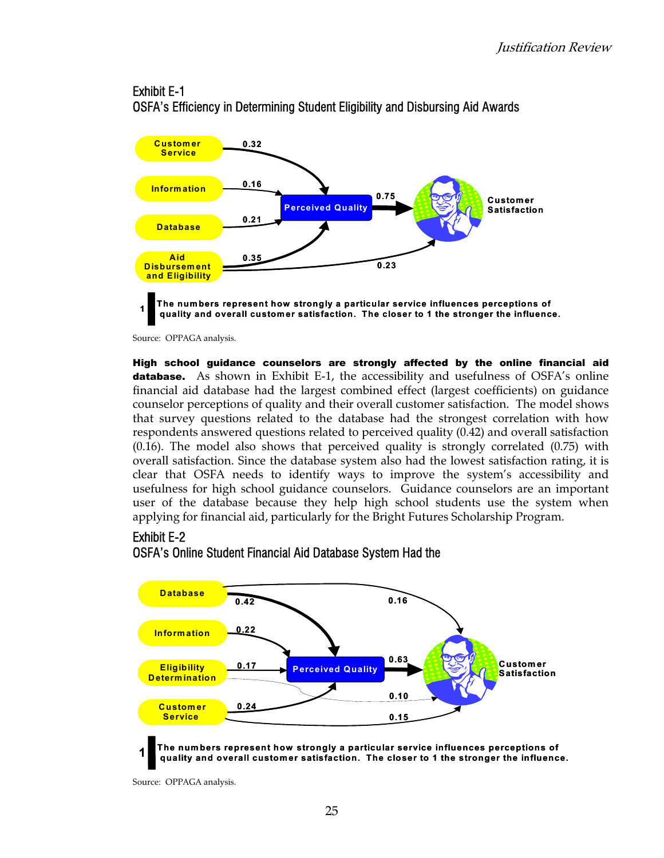#### Exhibit E-1



OSFA's Efficiency in Determining Student Eligibility and Disbursing Aid Awards

Source: OPPAGA analysis.

High school guidance counselors are strongly affected by the online financial aid **database.** As shown in Exhibit E-1, the accessibility and usefulness of OSFA's online financial aid database had the largest combined effect (largest coefficients) on guidance counselor perceptions of quality and their overall customer satisfaction. The model shows that survey questions related to the database had the strongest correlation with how respondents answered questions related to perceived quality (0.42) and overall satisfaction (0.16). The model also shows that perceived quality is strongly correlated (0.75) with overall satisfaction. Since the database system also had the lowest satisfaction rating, it is clear that OSFA needs to identify ways to improve the system's accessibility and usefulness for high school guidance counselors. Guidance counselors are an important user of the database because they help high school students use the system when applying for financial aid, particularly for the Bright Futures Scholarship Program.

#### Exhibit E-2





Source: OPPAGA analysis.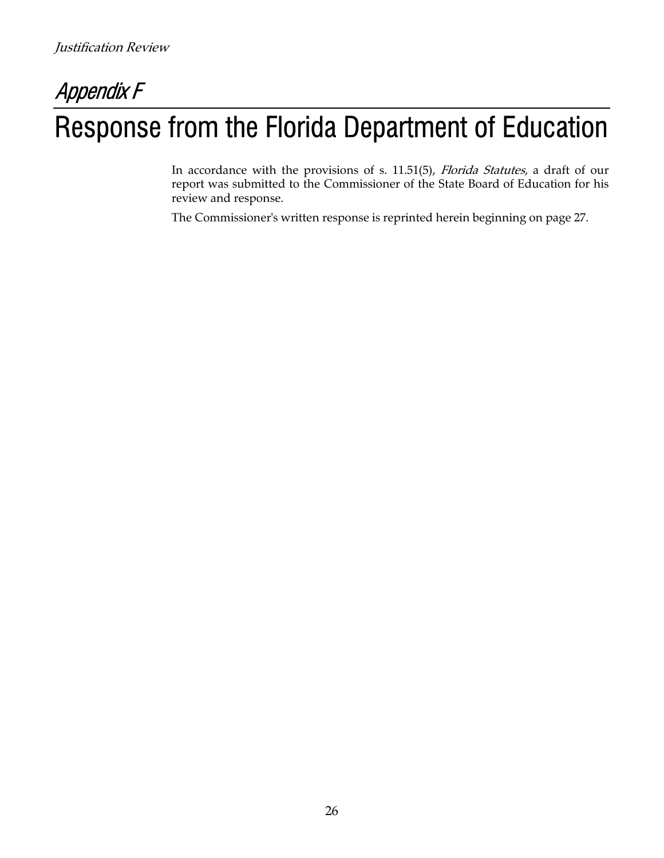## Appendix F Response from the Florida Department of Education

In accordance with the provisions of s. 11.51(5)*, Florida Statutes,* a draft of our report was submitted to the Commissioner of the State Board of Education for his review and response.

The Commissioner's written response is reprinted herein beginning on page 27.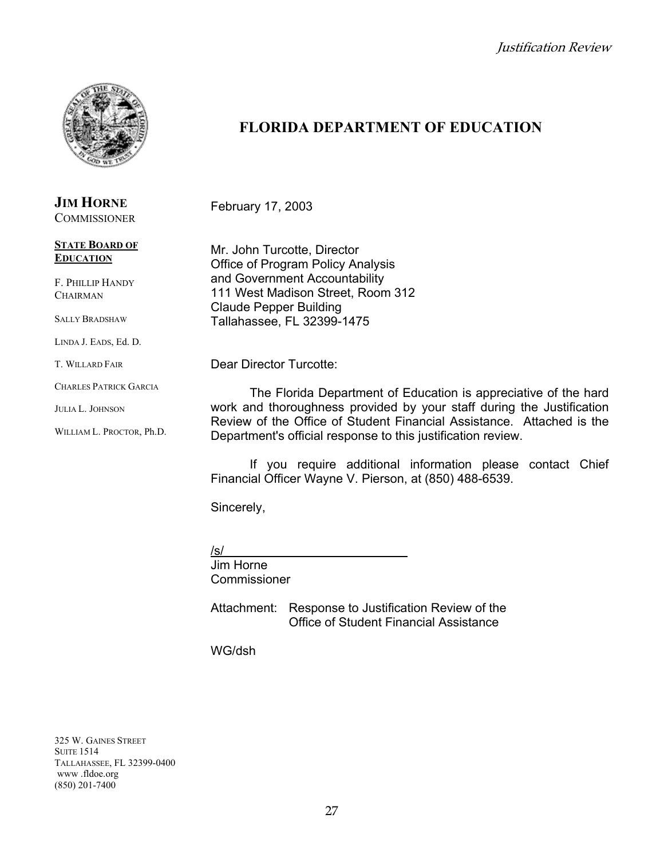

#### **JIM HORNE COMMISSIONER**

**STATE BOARD OF**

### **EDUCATION**

F. PHILLIP HANDY **CHAIRMAN** 

SALLY BRADSHAW

LINDA J. EADS, Ed. D.

T. WILLARD FAIR

CHARLES PATRICK GARCIA

JULIA L. JOHNSON

WILLIAM L. PROCTOR, Ph.D.

### **FLORIDA DEPARTMENT OF EDUCATION**

February 17, 2003

Mr. John Turcotte, Director Office of Program Policy Analysis and Government Accountability 111 West Madison Street, Room 312 Claude Pepper Building Tallahassee, FL 32399-1475

Dear Director Turcotte:

The Florida Department of Education is appreciative of the hard work and thoroughness provided by your staff during the Justification Review of the Office of Student Financial Assistance. Attached is the Department's official response to this justification review.

If you require additional information please contact Chief Financial Officer Wayne V. Pierson, at (850) 488-6539.

Sincerely,

/s/ Jim Horne Commissioner

Attachment: Response to Justification Review of the Office of Student Financial Assistance

WG/dsh

325 W. GAINES STREET **SUITE 1514** TALLAHASSEE, FL 32399-0400 www .fldoe.org (850) 201-7400